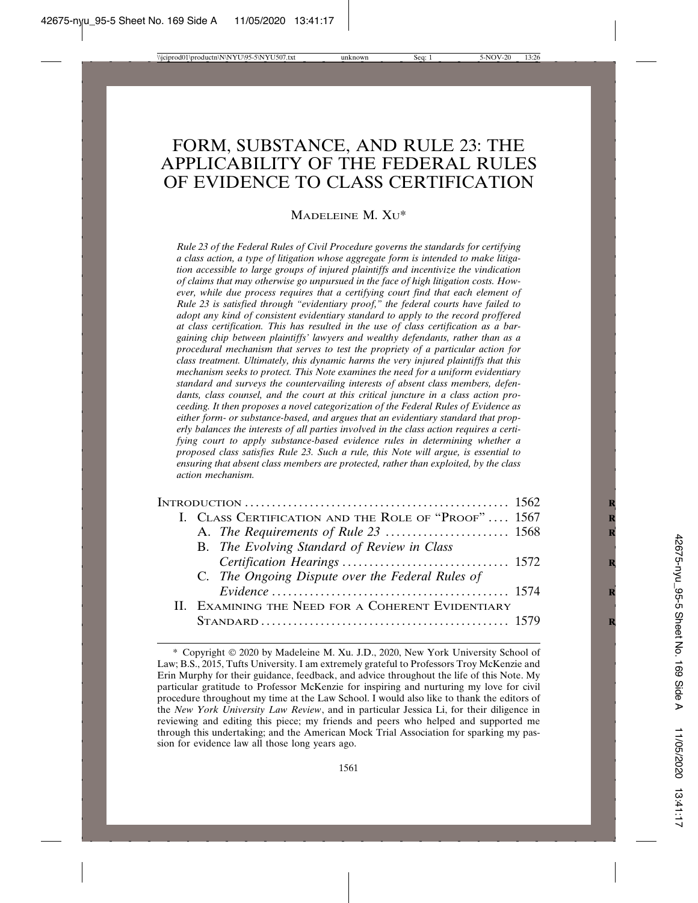# FORM, SUBSTANCE, AND RULE 23: THE APPLICABILITY OF THE FEDERAL RULES OF EVIDENCE TO CLASS CERTIFICATION

MADELEINE M. XU\*

*Rule 23 of the Federal Rules of Civil Procedure governs the standards for certifying a class action, a type of litigation whose aggregate form is intended to make litigation accessible to large groups of injured plaintiffs and incentivize the vindication of claims that may otherwise go unpursued in the face of high litigation costs. However, while due process requires that a certifying court find that each element of Rule 23 is satisfied through "evidentiary proof," the federal courts have failed to adopt any kind of consistent evidentiary standard to apply to the record proffered at class certification. This has resulted in the use of class certification as a bargaining chip between plaintiffs' lawyers and wealthy defendants, rather than as a procedural mechanism that serves to test the propriety of a particular action for class treatment. Ultimately, this dynamic harms the very injured plaintiffs that this mechanism seeks to protect. This Note examines the need for a uniform evidentiary standard and surveys the countervailing interests of absent class members, defendants, class counsel, and the court at this critical juncture in a class action proceeding. It then proposes a novel categorization of the Federal Rules of Evidence as either form- or substance-based, and argues that an evidentiary standard that properly balances the interests of all parties involved in the class action requires a certifying court to apply substance-based evidence rules in determining whether a proposed class satisfies Rule 23. Such a rule, this Note will argue, is essential to ensuring that absent class members are protected, rather than exploited, by the class action mechanism.*

|  | I. CLASS CERTIFICATION AND THE ROLE OF "PROOF" 1567 |  |
|--|-----------------------------------------------------|--|
|  |                                                     |  |
|  | B. The Evolving Standard of Review in Class         |  |
|  |                                                     |  |
|  | C. The Ongoing Dispute over the Federal Rules of    |  |
|  |                                                     |  |
|  | II. EXAMINING THE NEED FOR A COHERENT EVIDENTIARY   |  |
|  |                                                     |  |

<sup>\*</sup> Copyright 2020 by Madeleine M. Xu. J.D., 2020, New York University School of Law; B.S., 2015, Tufts University. I am extremely grateful to Professors Troy McKenzie and Erin Murphy for their guidance, feedback, and advice throughout the life of this Note. My particular gratitude to Professor McKenzie for inspiring and nurturing my love for civil procedure throughout my time at the Law School. I would also like to thank the editors of the *New York University Law Review*, and in particular Jessica Li, for their diligence in reviewing and editing this piece; my friends and peers who helped and supported me through this undertaking; and the American Mock Trial Association for sparking my passion for evidence law all those long years ago.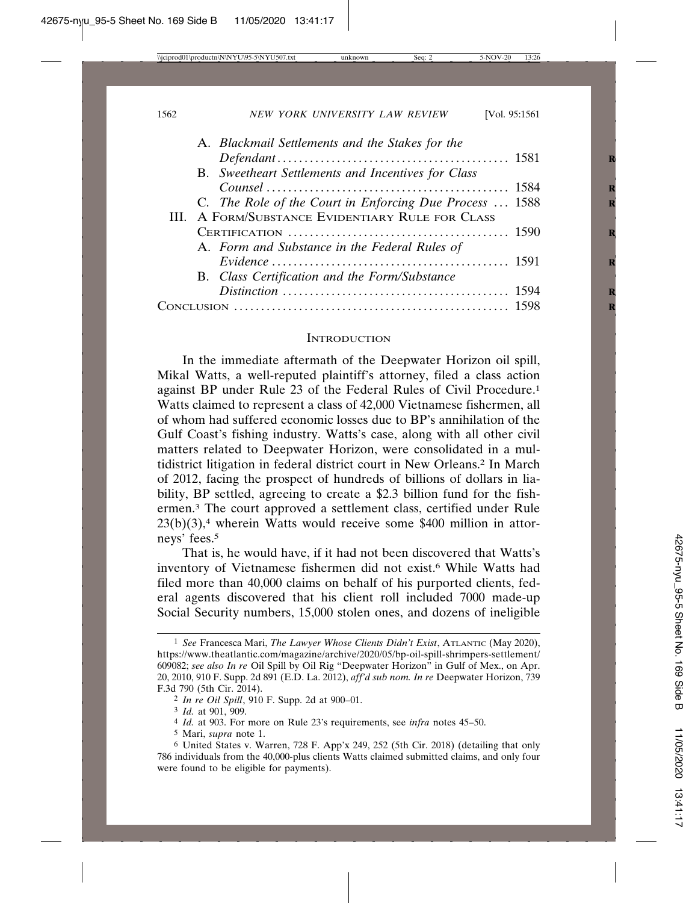|  | A. Blackmail Settlements and the Stakes for the         |  |
|--|---------------------------------------------------------|--|
|  |                                                         |  |
|  | B. Sweetheart Settlements and Incentives for Class      |  |
|  |                                                         |  |
|  | C. The Role of the Court in Enforcing Due Process  1588 |  |
|  | III. A FORM/SUBSTANCE EVIDENTIARY RULE FOR CLASS        |  |
|  |                                                         |  |
|  | A. Form and Substance in the Federal Rules of           |  |
|  | $Evidence \dots 1591$                                   |  |
|  | B. Class Certification and the Form/Substance           |  |
|  |                                                         |  |
|  |                                                         |  |

#### **INTRODUCTION**

In the immediate aftermath of the Deepwater Horizon oil spill, Mikal Watts, a well-reputed plaintiff's attorney, filed a class action against BP under Rule 23 of the Federal Rules of Civil Procedure.1 Watts claimed to represent a class of 42,000 Vietnamese fishermen, all of whom had suffered economic losses due to BP's annihilation of the Gulf Coast's fishing industry. Watts's case, along with all other civil matters related to Deepwater Horizon, were consolidated in a multidistrict litigation in federal district court in New Orleans.2 In March of 2012, facing the prospect of hundreds of billions of dollars in liability, BP settled, agreeing to create a \$2.3 billion fund for the fishermen.3 The court approved a settlement class, certified under Rule  $23(b)(3)$ ,<sup>4</sup> wherein Watts would receive some \$400 million in attorneys' fees.5

That is, he would have, if it had not been discovered that Watts's inventory of Vietnamese fishermen did not exist.6 While Watts had filed more than 40,000 claims on behalf of his purported clients, federal agents discovered that his client roll included 7000 made-up Social Security numbers, 15,000 stolen ones, and dozens of ineligible

<sup>1</sup> *See* Francesca Mari, *The Lawyer Whose Clients Didn't Exist*, ATLANTIC (May 2020), https://www.theatlantic.com/magazine/archive/2020/05/bp-oil-spill-shrimpers-settlement/ 609082; *see also In re* Oil Spill by Oil Rig "Deepwater Horizon" in Gulf of Mex., on Apr. 20, 2010, 910 F. Supp. 2d 891 (E.D. La. 2012), *aff'd sub nom. In re* Deepwater Horizon, 739 F.3d 790 (5th Cir. 2014).

<sup>2</sup> *In re Oil Spill*, 910 F. Supp. 2d at 900–01.

<sup>3</sup> *Id.* at 901, 909.

<sup>4</sup> *Id.* at 903. For more on Rule 23's requirements, see *infra* notes 45–50.

<sup>5</sup> Mari, *supra* note 1.

<sup>6</sup> United States v. Warren, 728 F. App'x 249, 252 (5th Cir. 2018) (detailing that only 786 individuals from the 40,000-plus clients Watts claimed submitted claims, and only four were found to be eligible for payments).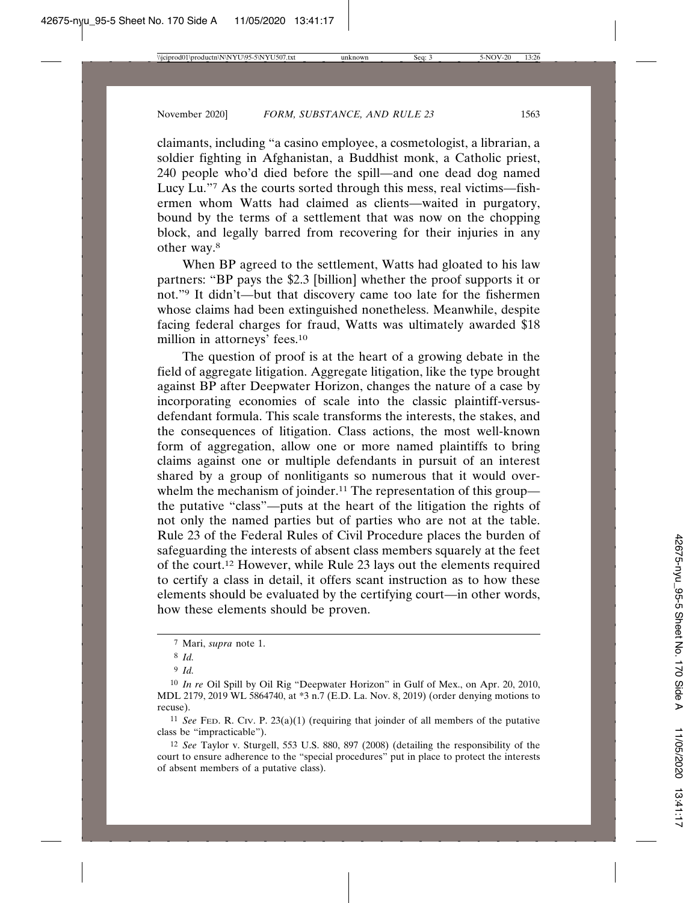claimants, including "a casino employee, a cosmetologist, a librarian, a soldier fighting in Afghanistan, a Buddhist monk, a Catholic priest, 240 people who'd died before the spill—and one dead dog named Lucy Lu."7 As the courts sorted through this mess, real victims—fishermen whom Watts had claimed as clients—waited in purgatory, bound by the terms of a settlement that was now on the chopping block, and legally barred from recovering for their injuries in any other way.8

When BP agreed to the settlement, Watts had gloated to his law partners: "BP pays the \$2.3 [billion] whether the proof supports it or not."9 It didn't—but that discovery came too late for the fishermen whose claims had been extinguished nonetheless. Meanwhile, despite facing federal charges for fraud, Watts was ultimately awarded \$18 million in attorneys' fees.10

The question of proof is at the heart of a growing debate in the field of aggregate litigation. Aggregate litigation, like the type brought against BP after Deepwater Horizon, changes the nature of a case by incorporating economies of scale into the classic plaintiff-versusdefendant formula. This scale transforms the interests, the stakes, and the consequences of litigation. Class actions, the most well-known form of aggregation, allow one or more named plaintiffs to bring claims against one or multiple defendants in pursuit of an interest shared by a group of nonlitigants so numerous that it would overwhelm the mechanism of joinder.<sup>11</sup> The representation of this group the putative "class"—puts at the heart of the litigation the rights of not only the named parties but of parties who are not at the table. Rule 23 of the Federal Rules of Civil Procedure places the burden of safeguarding the interests of absent class members squarely at the feet of the court.12 However, while Rule 23 lays out the elements required to certify a class in detail, it offers scant instruction as to how these elements should be evaluated by the certifying court—in other words, how these elements should be proven.

11 *See* FED. R. CIV. P. 23(a)(1) (requiring that joinder of all members of the putative class be "impracticable").

<sup>7</sup> Mari, *supra* note 1.

<sup>8</sup> *Id.*

<sup>9</sup> *Id.*

<sup>10</sup> *In re* Oil Spill by Oil Rig "Deepwater Horizon" in Gulf of Mex., on Apr. 20, 2010, MDL 2179, 2019 WL 5864740, at \*3 n.7 (E.D. La. Nov. 8, 2019) (order denying motions to recuse).

<sup>12</sup> *See* Taylor v. Sturgell, 553 U.S. 880, 897 (2008) (detailing the responsibility of the court to ensure adherence to the "special procedures" put in place to protect the interests of absent members of a putative class).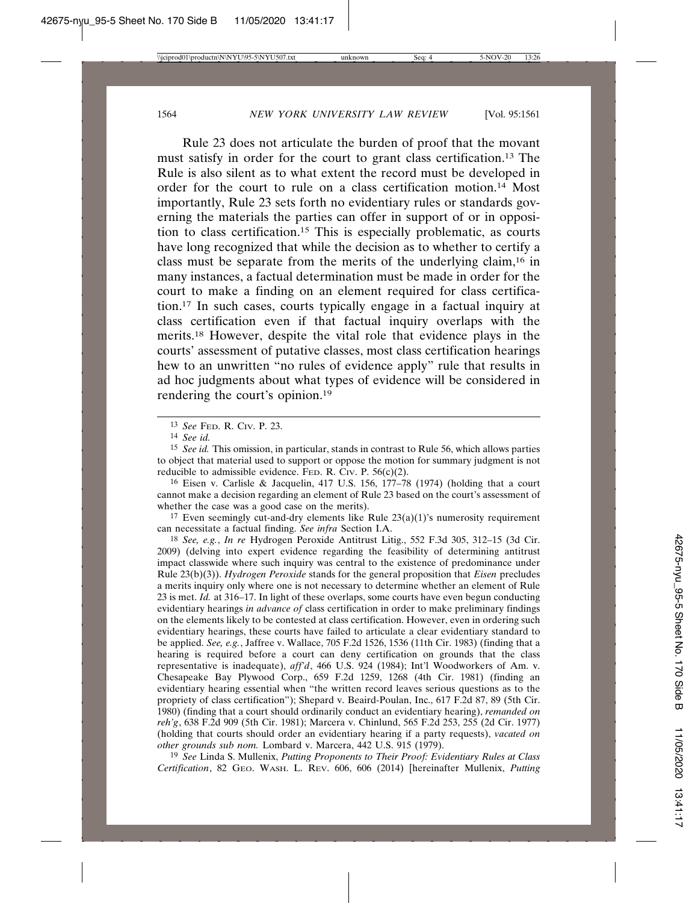Rule 23 does not articulate the burden of proof that the movant must satisfy in order for the court to grant class certification.13 The Rule is also silent as to what extent the record must be developed in order for the court to rule on a class certification motion.14 Most importantly, Rule 23 sets forth no evidentiary rules or standards governing the materials the parties can offer in support of or in opposition to class certification.15 This is especially problematic, as courts have long recognized that while the decision as to whether to certify a class must be separate from the merits of the underlying claim,16 in many instances, a factual determination must be made in order for the court to make a finding on an element required for class certification.17 In such cases, courts typically engage in a factual inquiry at class certification even if that factual inquiry overlaps with the merits.18 However, despite the vital role that evidence plays in the courts' assessment of putative classes, most class certification hearings hew to an unwritten "no rules of evidence apply" rule that results in ad hoc judgments about what types of evidence will be considered in rendering the court's opinion.19

16 Eisen v. Carlisle & Jacquelin, 417 U.S. 156, 177–78 (1974) (holding that a court cannot make a decision regarding an element of Rule 23 based on the court's assessment of whether the case was a good case on the merits).

<sup>17</sup> Even seemingly cut-and-dry elements like Rule  $23(a)(1)$ 's numerosity requirement can necessitate a factual finding. *See infra* Section I.A.

18 *See, e.g.*, *In re* Hydrogen Peroxide Antitrust Litig., 552 F.3d 305, 312–15 (3d Cir. 2009) (delving into expert evidence regarding the feasibility of determining antitrust impact classwide where such inquiry was central to the existence of predominance under Rule 23(b)(3)). *Hydrogen Peroxide* stands for the general proposition that *Eisen* precludes a merits inquiry only where one is not necessary to determine whether an element of Rule 23 is met. *Id.* at 316–17. In light of these overlaps, some courts have even begun conducting evidentiary hearings *in advance of* class certification in order to make preliminary findings on the elements likely to be contested at class certification. However, even in ordering such evidentiary hearings, these courts have failed to articulate a clear evidentiary standard to be applied. *See, e.g.*, Jaffree v. Wallace, 705 F.2d 1526, 1536 (11th Cir. 1983) (finding that a hearing is required before a court can deny certification on grounds that the class representative is inadequate), *aff'd*, 466 U.S. 924 (1984); Int'l Woodworkers of Am. v. Chesapeake Bay Plywood Corp., 659 F.2d 1259, 1268 (4th Cir. 1981) (finding an evidentiary hearing essential when "the written record leaves serious questions as to the propriety of class certification"); Shepard v. Beaird-Poulan, Inc., 617 F.2d 87, 89 (5th Cir. 1980) (finding that a court should ordinarily conduct an evidentiary hearing), *remanded on reh'g*, 638 F.2d 909 (5th Cir. 1981); Marcera v. Chinlund, 565 F.2d 253, 255 (2d Cir. 1977) (holding that courts should order an evidentiary hearing if a party requests), *vacated on other grounds sub nom.* Lombard v. Marcera, 442 U.S. 915 (1979).

19 *See* Linda S. Mullenix, *Putting Proponents to Their Proof: Evidentiary Rules at Class Certification*, 82 GEO. WASH. L. REV. 606, 606 (2014) [hereinafter Mullenix, *Putting*

<sup>13</sup> *See* FED. R. CIV. P. 23.

<sup>14</sup> *See id.*

<sup>15</sup> *See id.* This omission, in particular, stands in contrast to Rule 56, which allows parties to object that material used to support or oppose the motion for summary judgment is not reducible to admissible evidence. FED. R. CIV. P.  $56(c)(2)$ .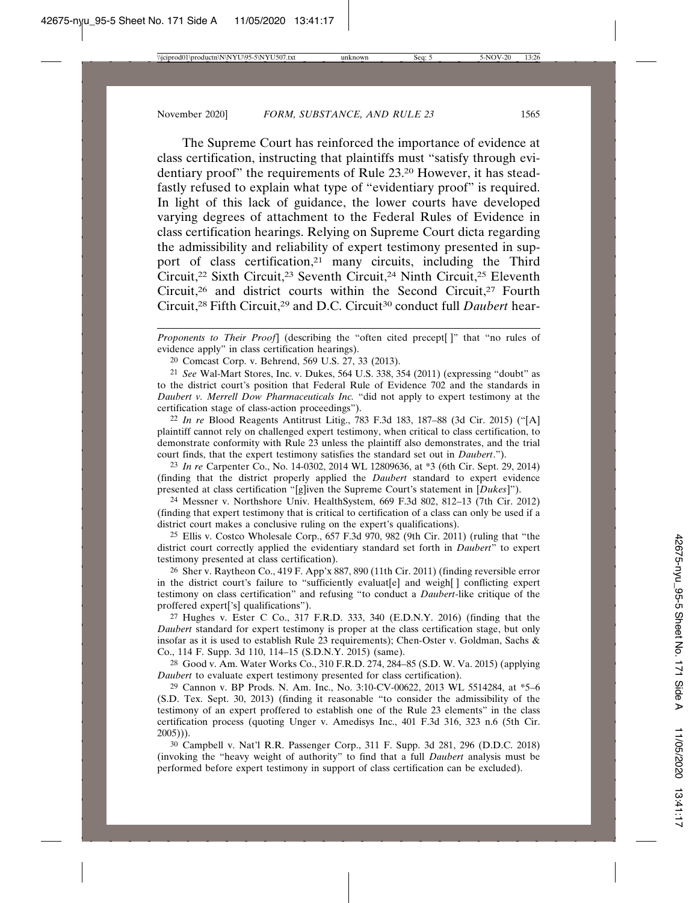The Supreme Court has reinforced the importance of evidence at class certification, instructing that plaintiffs must "satisfy through evidentiary proof" the requirements of Rule 23.20 However, it has steadfastly refused to explain what type of "evidentiary proof" is required. In light of this lack of guidance, the lower courts have developed varying degrees of attachment to the Federal Rules of Evidence in class certification hearings. Relying on Supreme Court dicta regarding the admissibility and reliability of expert testimony presented in support of class certification,21 many circuits, including the Third Circuit,22 Sixth Circuit,23 Seventh Circuit,24 Ninth Circuit,25 Eleventh Circuit,<sup>26</sup> and district courts within the Second Circuit,<sup>27</sup> Fourth Circuit,28 Fifth Circuit,29 and D.C. Circuit30 conduct full *Daubert* hear-

*Proponents to Their Proof*] (describing the "often cited precept[ ]" that "no rules of evidence apply" in class certification hearings).

20 Comcast Corp. v. Behrend, 569 U.S. 27, 33 (2013).

21 *See* Wal-Mart Stores, Inc. v. Dukes, 564 U.S. 338, 354 (2011) (expressing "doubt" as to the district court's position that Federal Rule of Evidence 702 and the standards in *Daubert v. Merrell Dow Pharmaceuticals Inc.* "did not apply to expert testimony at the certification stage of class-action proceedings").

22 *In re* Blood Reagents Antitrust Litig., 783 F.3d 183, 187–88 (3d Cir. 2015) ("[A] plaintiff cannot rely on challenged expert testimony, when critical to class certification, to demonstrate conformity with Rule 23 unless the plaintiff also demonstrates, and the trial court finds, that the expert testimony satisfies the standard set out in *Daubert*.").

23 *In re* Carpenter Co., No. 14-0302, 2014 WL 12809636, at \*3 (6th Cir. Sept. 29, 2014) (finding that the district properly applied the *Daubert* standard to expert evidence presented at class certification "[g]iven the Supreme Court's statement in [*Dukes*]").

24 Messner v. Northshore Univ. HealthSystem, 669 F.3d 802, 812–13 (7th Cir. 2012) (finding that expert testimony that is critical to certification of a class can only be used if a district court makes a conclusive ruling on the expert's qualifications).

25 Ellis v. Costco Wholesale Corp., 657 F.3d 970, 982 (9th Cir. 2011) (ruling that "the district court correctly applied the evidentiary standard set forth in *Daubert*" to expert testimony presented at class certification).

26 Sher v. Raytheon Co., 419 F. App'x 887, 890 (11th Cir. 2011) (finding reversible error in the district court's failure to "sufficiently evaluat[e] and weigh[ ] conflicting expert testimony on class certification" and refusing "to conduct a *Daubert*-like critique of the proffered expert['s] qualifications").

27 Hughes v. Ester C Co., 317 F.R.D. 333, 340 (E.D.N.Y. 2016) (finding that the *Daubert* standard for expert testimony is proper at the class certification stage, but only insofar as it is used to establish Rule 23 requirements); Chen-Oster v. Goldman, Sachs & Co., 114 F. Supp. 3d 110, 114–15 (S.D.N.Y. 2015) (same).

28 Good v. Am. Water Works Co., 310 F.R.D. 274, 284–85 (S.D. W. Va. 2015) (applying *Daubert* to evaluate expert testimony presented for class certification).

29 Cannon v. BP Prods. N. Am. Inc., No. 3:10-CV-00622, 2013 WL 5514284, at \*5–6 (S.D. Tex. Sept. 30, 2013) (finding it reasonable "to consider the admissibility of the testimony of an expert proffered to establish one of the Rule 23 elements" in the class certification process (quoting Unger v. Amedisys Inc., 401 F.3d 316, 323 n.6 (5th Cir. 2005))).

30 Campbell v. Nat'l R.R. Passenger Corp., 311 F. Supp. 3d 281, 296 (D.D.C. 2018) (invoking the "heavy weight of authority" to find that a full *Daubert* analysis must be performed before expert testimony in support of class certification can be excluded).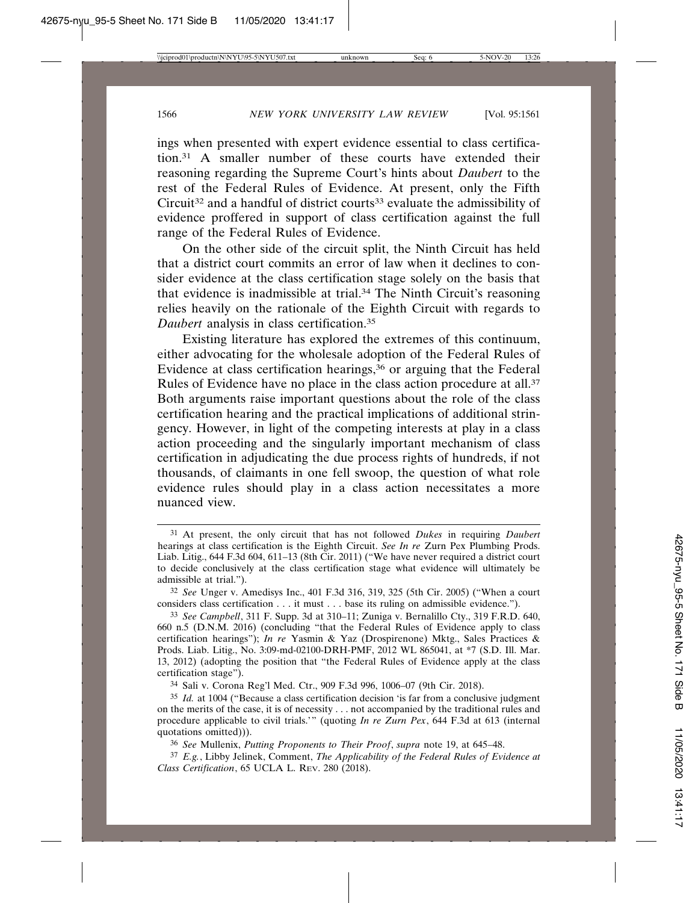ings when presented with expert evidence essential to class certification.31 A smaller number of these courts have extended their reasoning regarding the Supreme Court's hints about *Daubert* to the rest of the Federal Rules of Evidence. At present, only the Fifth Circuit<sup>32</sup> and a handful of district courts<sup>33</sup> evaluate the admissibility of evidence proffered in support of class certification against the full range of the Federal Rules of Evidence.

On the other side of the circuit split, the Ninth Circuit has held that a district court commits an error of law when it declines to consider evidence at the class certification stage solely on the basis that that evidence is inadmissible at trial.34 The Ninth Circuit's reasoning relies heavily on the rationale of the Eighth Circuit with regards to *Daubert* analysis in class certification.35

Existing literature has explored the extremes of this continuum, either advocating for the wholesale adoption of the Federal Rules of Evidence at class certification hearings,<sup>36</sup> or arguing that the Federal Rules of Evidence have no place in the class action procedure at all.37 Both arguments raise important questions about the role of the class certification hearing and the practical implications of additional stringency. However, in light of the competing interests at play in a class action proceeding and the singularly important mechanism of class certification in adjudicating the due process rights of hundreds, if not thousands, of claimants in one fell swoop, the question of what role evidence rules should play in a class action necessitates a more nuanced view.

34 Sali v. Corona Reg'l Med. Ctr., 909 F.3d 996, 1006–07 (9th Cir. 2018).

36 *See* Mullenix, *Putting Proponents to Their Proof*, *supra* note 19, at 645–48.

37 *E.g.*, Libby Jelinek, Comment, *The Applicability of the Federal Rules of Evidence at Class Certification*, 65 UCLA L. REV. 280 (2018).

<sup>31</sup> At present, the only circuit that has not followed *Dukes* in requiring *Daubert* hearings at class certification is the Eighth Circuit. *See In re* Zurn Pex Plumbing Prods. Liab. Litig., 644 F.3d 604, 611–13 (8th Cir. 2011) ("We have never required a district court to decide conclusively at the class certification stage what evidence will ultimately be admissible at trial.").

<sup>32</sup> *See* Unger v. Amedisys Inc., 401 F.3d 316, 319, 325 (5th Cir. 2005) ("When a court considers class certification . . . it must . . . base its ruling on admissible evidence.").

<sup>33</sup> *See Campbell*, 311 F. Supp. 3d at 310–11; Zuniga v. Bernalillo Cty., 319 F.R.D. 640, 660 n.5 (D.N.M. 2016) (concluding "that the Federal Rules of Evidence apply to class certification hearings"); *In re* Yasmin & Yaz (Drospirenone) Mktg., Sales Practices & Prods. Liab. Litig., No. 3:09-md-02100-DRH-PMF, 2012 WL 865041, at \*7 (S.D. Ill. Mar. 13, 2012) (adopting the position that "the Federal Rules of Evidence apply at the class certification stage").

<sup>35</sup> *Id.* at 1004 ("Because a class certification decision 'is far from a conclusive judgment on the merits of the case, it is of necessity . . . not accompanied by the traditional rules and procedure applicable to civil trials.'" (quoting *In re Zurn Pex*, 644 F.3d at 613 (internal quotations omitted))).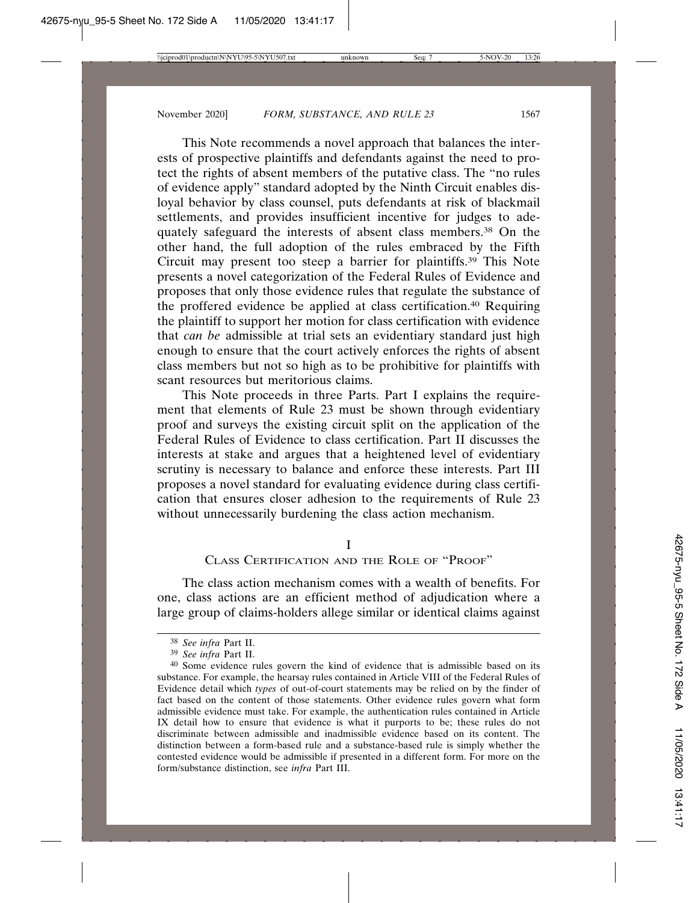This Note recommends a novel approach that balances the interests of prospective plaintiffs and defendants against the need to protect the rights of absent members of the putative class. The "no rules of evidence apply" standard adopted by the Ninth Circuit enables disloyal behavior by class counsel, puts defendants at risk of blackmail settlements, and provides insufficient incentive for judges to adequately safeguard the interests of absent class members.<sup>38</sup> On the other hand, the full adoption of the rules embraced by the Fifth Circuit may present too steep a barrier for plaintiffs.39 This Note presents a novel categorization of the Federal Rules of Evidence and proposes that only those evidence rules that regulate the substance of the proffered evidence be applied at class certification.40 Requiring the plaintiff to support her motion for class certification with evidence that *can be* admissible at trial sets an evidentiary standard just high enough to ensure that the court actively enforces the rights of absent class members but not so high as to be prohibitive for plaintiffs with scant resources but meritorious claims.

This Note proceeds in three Parts. Part I explains the requirement that elements of Rule 23 must be shown through evidentiary proof and surveys the existing circuit split on the application of the Federal Rules of Evidence to class certification. Part II discusses the interests at stake and argues that a heightened level of evidentiary scrutiny is necessary to balance and enforce these interests. Part III proposes a novel standard for evaluating evidence during class certification that ensures closer adhesion to the requirements of Rule 23 without unnecessarily burdening the class action mechanism.

## I

# CLASS CERTIFICATION AND THE ROLE OF "PROOF"

The class action mechanism comes with a wealth of benefits. For one, class actions are an efficient method of adjudication where a large group of claims-holders allege similar or identical claims against

<sup>38</sup> *See infra* Part II.

<sup>39</sup> *See infra* Part II.

<sup>40</sup> Some evidence rules govern the kind of evidence that is admissible based on its substance. For example, the hearsay rules contained in Article VIII of the Federal Rules of Evidence detail which *types* of out-of-court statements may be relied on by the finder of fact based on the content of those statements. Other evidence rules govern what form admissible evidence must take. For example, the authentication rules contained in Article IX detail how to ensure that evidence is what it purports to be; these rules do not discriminate between admissible and inadmissible evidence based on its content. The distinction between a form-based rule and a substance-based rule is simply whether the contested evidence would be admissible if presented in a different form. For more on the form/substance distinction, see *infra* Part III.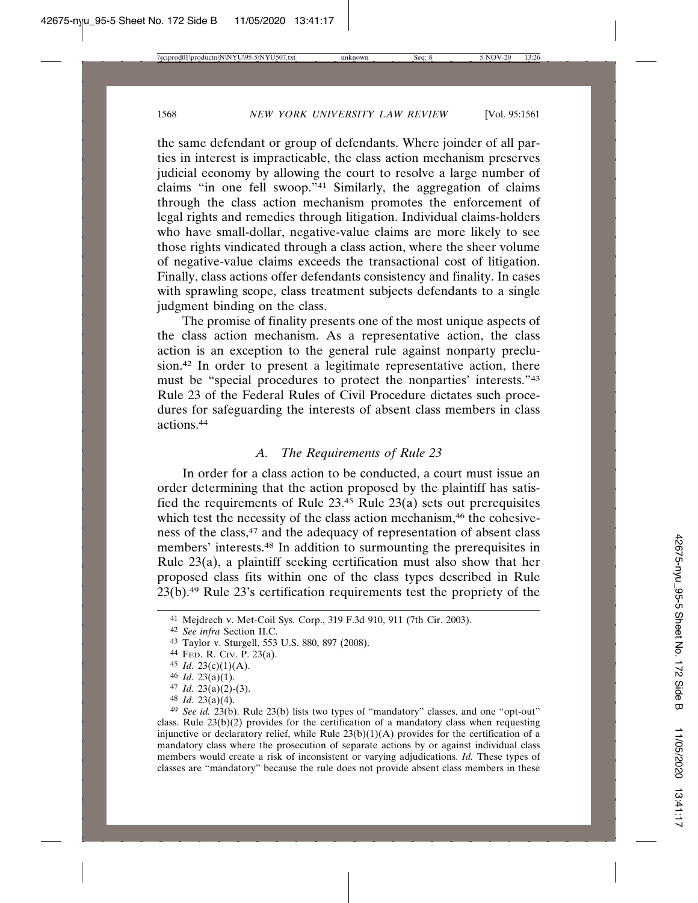the same defendant or group of defendants. Where joinder of all parties in interest is impracticable, the class action mechanism preserves judicial economy by allowing the court to resolve a large number of claims "in one fell swoop."41 Similarly, the aggregation of claims through the class action mechanism promotes the enforcement of legal rights and remedies through litigation. Individual claims-holders who have small-dollar, negative-value claims are more likely to see those rights vindicated through a class action, where the sheer volume of negative-value claims exceeds the transactional cost of litigation. Finally, class actions offer defendants consistency and finality. In cases with sprawling scope, class treatment subjects defendants to a single judgment binding on the class.

The promise of finality presents one of the most unique aspects of the class action mechanism. As a representative action, the class action is an exception to the general rule against nonparty preclusion.42 In order to present a legitimate representative action, there must be "special procedures to protect the nonparties' interests."43 Rule 23 of the Federal Rules of Civil Procedure dictates such procedures for safeguarding the interests of absent class members in class actions.44

## *A. The Requirements of Rule 23*

In order for a class action to be conducted, a court must issue an order determining that the action proposed by the plaintiff has satisfied the requirements of Rule  $23<sup>45</sup>$  Rule  $23(a)$  sets out prerequisites which test the necessity of the class action mechanism,<sup>46</sup> the cohesiveness of the class,47 and the adequacy of representation of absent class members' interests.48 In addition to surmounting the prerequisites in Rule 23(a), a plaintiff seeking certification must also show that her proposed class fits within one of the class types described in Rule  $23(b)$ .<sup>49</sup> Rule 23's certification requirements test the propriety of the

- 47 *Id.* 23(a)(2)-(3).
- 48 *Id.* 23(a)(4).

<sup>41</sup> Mejdrech v. Met-Coil Sys. Corp., 319 F.3d 910, 911 (7th Cir. 2003).

<sup>42</sup> *See infra* Section II.C.

<sup>43</sup> Taylor v. Sturgell, 553 U.S. 880, 897 (2008).

<sup>44</sup> FED. R. CIV. P. 23(a).

<sup>45</sup> *Id.* 23(c)(1)(A).

<sup>46</sup> *Id.* 23(a)(1).

<sup>49</sup> *See id.* 23(b). Rule 23(b) lists two types of "mandatory" classes, and one "opt-out" class. Rule  $23(b)(2)$  provides for the certification of a mandatory class when requesting injunctive or declaratory relief, while Rule 23(b)(1)(A) provides for the certification of a mandatory class where the prosecution of separate actions by or against individual class members would create a risk of inconsistent or varying adjudications. *Id.* These types of classes are "mandatory" because the rule does not provide absent class members in these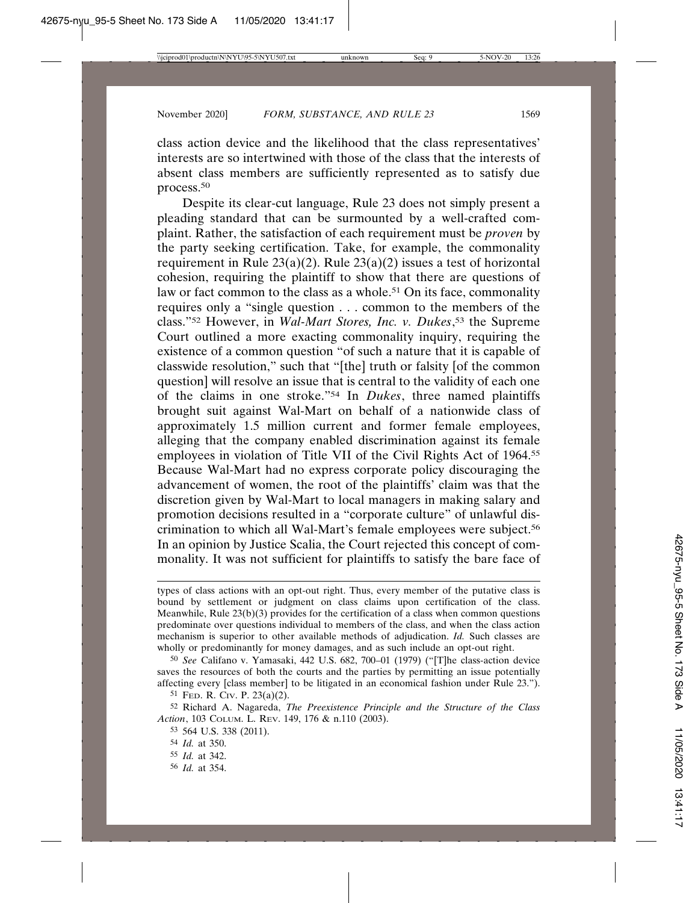class action device and the likelihood that the class representatives' interests are so intertwined with those of the class that the interests of absent class members are sufficiently represented as to satisfy due process.50

Despite its clear-cut language, Rule 23 does not simply present a pleading standard that can be surmounted by a well-crafted complaint. Rather, the satisfaction of each requirement must be *proven* by the party seeking certification. Take, for example, the commonality requirement in Rule  $23(a)(2)$ . Rule  $23(a)(2)$  issues a test of horizontal cohesion, requiring the plaintiff to show that there are questions of law or fact common to the class as a whole.<sup>51</sup> On its face, commonality requires only a "single question . . . common to the members of the class."52 However, in *Wal-Mart Stores, Inc. v. Dukes*, 53 the Supreme Court outlined a more exacting commonality inquiry, requiring the existence of a common question "of such a nature that it is capable of classwide resolution," such that "[the] truth or falsity [of the common question] will resolve an issue that is central to the validity of each one of the claims in one stroke."54 In *Dukes*, three named plaintiffs brought suit against Wal-Mart on behalf of a nationwide class of approximately 1.5 million current and former female employees, alleging that the company enabled discrimination against its female employees in violation of Title VII of the Civil Rights Act of 1964.55 Because Wal-Mart had no express corporate policy discouraging the advancement of women, the root of the plaintiffs' claim was that the discretion given by Wal-Mart to local managers in making salary and promotion decisions resulted in a "corporate culture" of unlawful discrimination to which all Wal-Mart's female employees were subject.56 In an opinion by Justice Scalia, the Court rejected this concept of commonality. It was not sufficient for plaintiffs to satisfy the bare face of

50 *See* Califano v. Yamasaki, 442 U.S. 682, 700–01 (1979) ("[T]he class-action device saves the resources of both the courts and the parties by permitting an issue potentially affecting every [class member] to be litigated in an economical fashion under Rule 23.").

53 564 U.S. 338 (2011).

56 *Id.* at 354.

types of class actions with an opt-out right. Thus, every member of the putative class is bound by settlement or judgment on class claims upon certification of the class. Meanwhile, Rule  $23(b)(3)$  provides for the certification of a class when common questions predominate over questions individual to members of the class, and when the class action mechanism is superior to other available methods of adjudication. *Id.* Such classes are wholly or predominantly for money damages, and as such include an opt-out right.

<sup>51</sup> FED. R. CIV. P. 23(a)(2).

<sup>52</sup> Richard A. Nagareda, *The Preexistence Principle and the Structure of the Class Action*, 103 COLUM. L. REV. 149, 176 & n.110 (2003).

<sup>54</sup> *Id.* at 350.

<sup>55</sup> *Id.* at 342.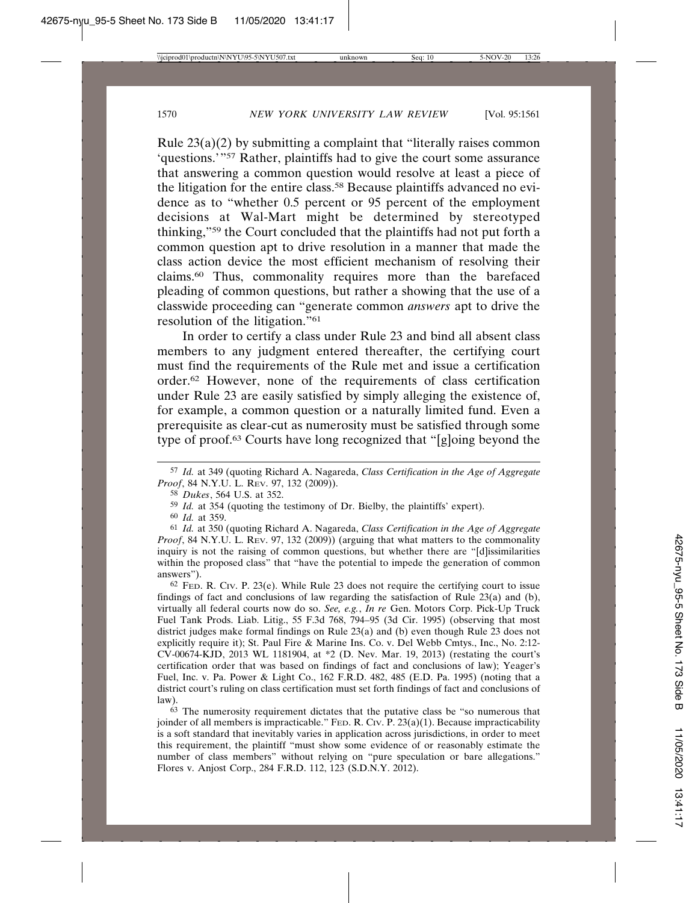Rule  $23(a)(2)$  by submitting a complaint that "literally raises common 'questions.'"57 Rather, plaintiffs had to give the court some assurance that answering a common question would resolve at least a piece of the litigation for the entire class.<sup>58</sup> Because plaintiffs advanced no evidence as to "whether 0.5 percent or 95 percent of the employment decisions at Wal-Mart might be determined by stereotyped thinking,"59 the Court concluded that the plaintiffs had not put forth a common question apt to drive resolution in a manner that made the class action device the most efficient mechanism of resolving their claims.60 Thus, commonality requires more than the barefaced pleading of common questions, but rather a showing that the use of a classwide proceeding can "generate common *answers* apt to drive the resolution of the litigation."61

In order to certify a class under Rule 23 and bind all absent class members to any judgment entered thereafter, the certifying court must find the requirements of the Rule met and issue a certification order.62 However, none of the requirements of class certification under Rule 23 are easily satisfied by simply alleging the existence of, for example, a common question or a naturally limited fund. Even a prerequisite as clear-cut as numerosity must be satisfied through some type of proof.63 Courts have long recognized that "[g]oing beyond the

60 *Id.* at 359.

61 *Id.* at 350 (quoting Richard A. Nagareda, *Class Certification in the Age of Aggregate Proof*, 84 N.Y.U. L. Rev. 97, 132 (2009)) (arguing that what matters to the commonality inquiry is not the raising of common questions, but whether there are "[d]issimilarities within the proposed class" that "have the potential to impede the generation of common answers").

 $62$  FeD. R. Civ. P. 23(e). While Rule 23 does not require the certifying court to issue findings of fact and conclusions of law regarding the satisfaction of Rule 23(a) and (b), virtually all federal courts now do so. *See, e.g.*, *In re* Gen. Motors Corp. Pick-Up Truck Fuel Tank Prods. Liab. Litig., 55 F.3d 768, 794–95 (3d Cir. 1995) (observing that most district judges make formal findings on Rule 23(a) and (b) even though Rule 23 does not explicitly require it); St. Paul Fire & Marine Ins. Co. v. Del Webb Cmtys., Inc., No. 2:12- CV-00674-KJD, 2013 WL 1181904, at \*2 (D. Nev. Mar. 19, 2013) (restating the court's certification order that was based on findings of fact and conclusions of law); Yeager's Fuel, Inc. v. Pa. Power & Light Co., 162 F.R.D. 482, 485 (E.D. Pa. 1995) (noting that a district court's ruling on class certification must set forth findings of fact and conclusions of law).

63 The numerosity requirement dictates that the putative class be "so numerous that joinder of all members is impracticable." FED. R. CIV. P.  $23(a)(1)$ . Because impracticability is a soft standard that inevitably varies in application across jurisdictions, in order to meet this requirement, the plaintiff "must show some evidence of or reasonably estimate the number of class members" without relying on "pure speculation or bare allegations." Flores v. Anjost Corp., 284 F.R.D. 112, 123 (S.D.N.Y. 2012).

<sup>57</sup> *Id.* at 349 (quoting Richard A. Nagareda, *Class Certification in the Age of Aggregate Proof*, 84 N.Y.U. L. REV. 97, 132 (2009).

<sup>58</sup> *Dukes*, 564 U.S. at 352.

<sup>59</sup> *Id.* at 354 (quoting the testimony of Dr. Bielby, the plaintiffs' expert).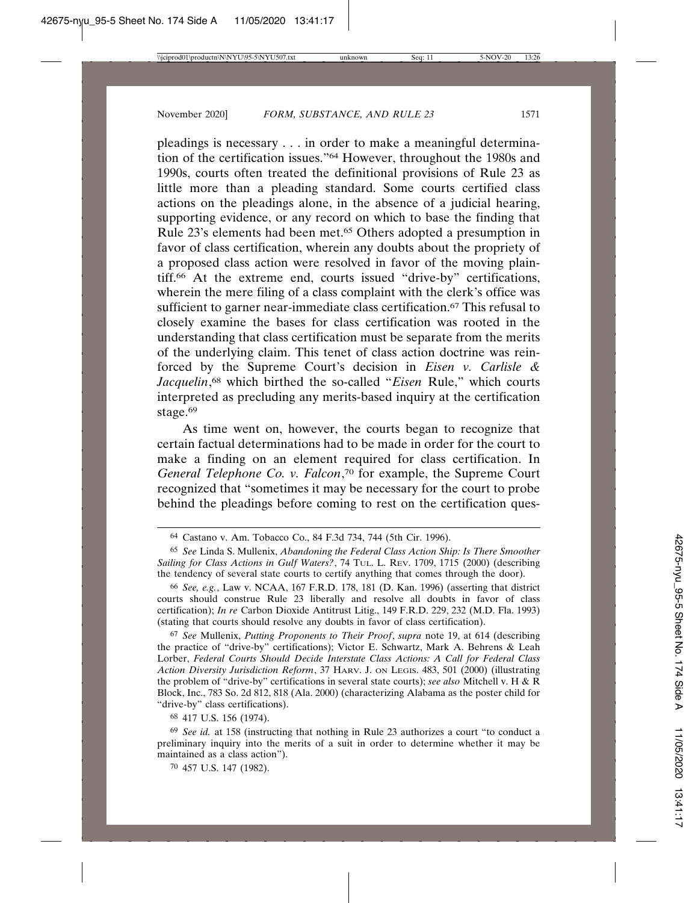pleadings is necessary . . . in order to make a meaningful determination of the certification issues."64 However, throughout the 1980s and 1990s, courts often treated the definitional provisions of Rule 23 as little more than a pleading standard. Some courts certified class actions on the pleadings alone, in the absence of a judicial hearing, supporting evidence, or any record on which to base the finding that Rule 23's elements had been met.65 Others adopted a presumption in favor of class certification, wherein any doubts about the propriety of a proposed class action were resolved in favor of the moving plaintiff.66 At the extreme end, courts issued "drive-by" certifications, wherein the mere filing of a class complaint with the clerk's office was sufficient to garner near-immediate class certification.<sup>67</sup> This refusal to closely examine the bases for class certification was rooted in the understanding that class certification must be separate from the merits of the underlying claim. This tenet of class action doctrine was reinforced by the Supreme Court's decision in *Eisen v. Carlisle & Jacquelin*, 68 which birthed the so-called "*Eisen* Rule," which courts interpreted as precluding any merits-based inquiry at the certification stage.<sup>69</sup>

As time went on, however, the courts began to recognize that certain factual determinations had to be made in order for the court to make a finding on an element required for class certification. In *General Telephone Co. v. Falcon*, 70 for example, the Supreme Court recognized that "sometimes it may be necessary for the court to probe behind the pleadings before coming to rest on the certification ques-

67 *See* Mullenix, *Putting Proponents to Their Proof*, *supra* note 19, at 614 (describing the practice of "drive-by" certifications); Victor E. Schwartz, Mark A. Behrens & Leah Lorber, *Federal Courts Should Decide Interstate Class Actions: A Call for Federal Class Action Diversity Jurisdiction Reform*, 37 HARV. J. ON LEGIS. 483, 501 (2000) (illustrating the problem of "drive-by" certifications in several state courts); *see also* Mitchell v. H & R Block, Inc., 783 So. 2d 812, 818 (Ala. 2000) (characterizing Alabama as the poster child for "drive-by" class certifications).

68 417 U.S. 156 (1974).

69 *See id.* at 158 (instructing that nothing in Rule 23 authorizes a court "to conduct a preliminary inquiry into the merits of a suit in order to determine whether it may be maintained as a class action").

70 457 U.S. 147 (1982).

<sup>64</sup> Castano v. Am. Tobacco Co., 84 F.3d 734, 744 (5th Cir. 1996).

<sup>65</sup> *See* Linda S. Mullenix, *Abandoning the Federal Class Action Ship: Is There Smoother Sailing for Class Actions in Gulf Waters?*, 74 TUL. L. REV. 1709, 1715 (2000) (describing the tendency of several state courts to certify anything that comes through the door).

<sup>66</sup> *See, e.g.*, Law v. NCAA, 167 F.R.D. 178, 181 (D. Kan. 1996) (asserting that district courts should construe Rule 23 liberally and resolve all doubts in favor of class certification); *In re* Carbon Dioxide Antitrust Litig., 149 F.R.D. 229, 232 (M.D. Fla. 1993) (stating that courts should resolve any doubts in favor of class certification).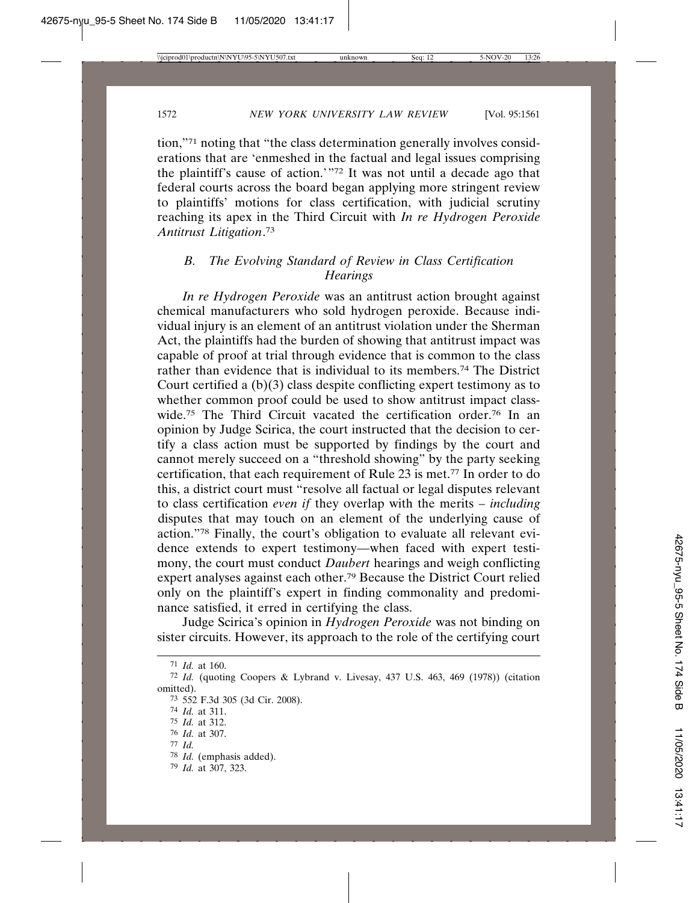tion,"71 noting that "the class determination generally involves considerations that are 'enmeshed in the factual and legal issues comprising the plaintiff's cause of action.'"72 It was not until a decade ago that federal courts across the board began applying more stringent review to plaintiffs' motions for class certification, with judicial scrutiny reaching its apex in the Third Circuit with *In re Hydrogen Peroxide Antitrust Litigation*. 73

# *B. The Evolving Standard of Review in Class Certification Hearings*

*In re Hydrogen Peroxide* was an antitrust action brought against chemical manufacturers who sold hydrogen peroxide. Because individual injury is an element of an antitrust violation under the Sherman Act, the plaintiffs had the burden of showing that antitrust impact was capable of proof at trial through evidence that is common to the class rather than evidence that is individual to its members.74 The District Court certified a (b)(3) class despite conflicting expert testimony as to whether common proof could be used to show antitrust impact classwide.<sup>75</sup> The Third Circuit vacated the certification order.<sup>76</sup> In an opinion by Judge Scirica, the court instructed that the decision to certify a class action must be supported by findings by the court and cannot merely succeed on a "threshold showing" by the party seeking certification, that each requirement of Rule 23 is met.77 In order to do this, a district court must "resolve all factual or legal disputes relevant to class certification *even if* they overlap with the merits – *including* disputes that may touch on an element of the underlying cause of action."78 Finally, the court's obligation to evaluate all relevant evidence extends to expert testimony—when faced with expert testimony, the court must conduct *Daubert* hearings and weigh conflicting expert analyses against each other.79 Because the District Court relied only on the plaintiff's expert in finding commonality and predominance satisfied, it erred in certifying the class.

Judge Scirica's opinion in *Hydrogen Peroxide* was not binding on sister circuits. However, its approach to the role of the certifying court

- 76 *Id.* at 307.
- 77 *Id.*
- 78 *Id.* (emphasis added).

<sup>71</sup> *Id.* at 160.

<sup>72</sup> *Id.* (quoting Coopers & Lybrand v. Livesay, 437 U.S. 463, 469 (1978)) (citation omitted).

<sup>73</sup> 552 F.3d 305 (3d Cir. 2008).

<sup>74</sup> *Id.* at 311.

<sup>75</sup> *Id.* at 312.

<sup>79</sup> *Id.* at 307, 323.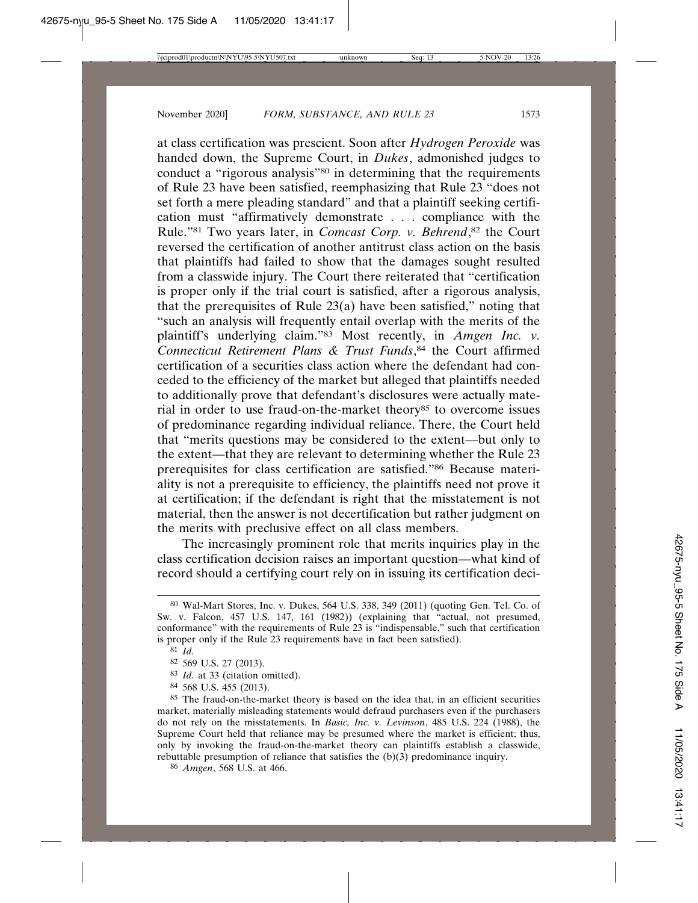at class certification was prescient. Soon after *Hydrogen Peroxide* was handed down, the Supreme Court, in *Dukes*, admonished judges to conduct a "rigorous analysis"<sup>80</sup> in determining that the requirements of Rule 23 have been satisfied, reemphasizing that Rule 23 "does not set forth a mere pleading standard" and that a plaintiff seeking certification must "affirmatively demonstrate . . . compliance with the Rule."81 Two years later, in *Comcast Corp. v. Behrend*, 82 the Court reversed the certification of another antitrust class action on the basis that plaintiffs had failed to show that the damages sought resulted from a classwide injury. The Court there reiterated that "certification is proper only if the trial court is satisfied, after a rigorous analysis, that the prerequisites of Rule 23(a) have been satisfied," noting that "such an analysis will frequently entail overlap with the merits of the plaintiff's underlying claim."83 Most recently, in *Amgen Inc. v. Connecticut Retirement Plans & Trust Funds*, 84 the Court affirmed certification of a securities class action where the defendant had conceded to the efficiency of the market but alleged that plaintiffs needed to additionally prove that defendant's disclosures were actually material in order to use fraud-on-the-market theory<sup>85</sup> to overcome issues of predominance regarding individual reliance. There, the Court held that "merits questions may be considered to the extent—but only to the extent—that they are relevant to determining whether the Rule 23 prerequisites for class certification are satisfied."86 Because materiality is not a prerequisite to efficiency, the plaintiffs need not prove it at certification; if the defendant is right that the misstatement is not material, then the answer is not decertification but rather judgment on the merits with preclusive effect on all class members.

The increasingly prominent role that merits inquiries play in the class certification decision raises an important question—what kind of record should a certifying court rely on in issuing its certification deci-

<sup>80</sup> Wal-Mart Stores, Inc. v. Dukes, 564 U.S. 338, 349 (2011) (quoting Gen. Tel. Co. of Sw. v. Falcon, 457 U.S. 147, 161 (1982)) (explaining that "actual, not presumed, conformance" with the requirements of Rule 23 is "indispensable," such that certification is proper only if the Rule 23 requirements have in fact been satisfied).

<sup>81</sup> *Id.*

<sup>82</sup> 569 U.S. 27 (2013).

<sup>83</sup> *Id.* at 33 (citation omitted).

<sup>84</sup> 568 U.S. 455 (2013).

<sup>85</sup> The fraud-on-the-market theory is based on the idea that, in an efficient securities market, materially misleading statements would defraud purchasers even if the purchasers do not rely on the misstatements. In *Basic, Inc. v. Levinson*, 485 U.S. 224 (1988), the Supreme Court held that reliance may be presumed where the market is efficient; thus, only by invoking the fraud-on-the-market theory can plaintiffs establish a classwide, rebuttable presumption of reliance that satisfies the (b)(3) predominance inquiry.

<sup>86</sup> *Amgen*, 568 U.S. at 466.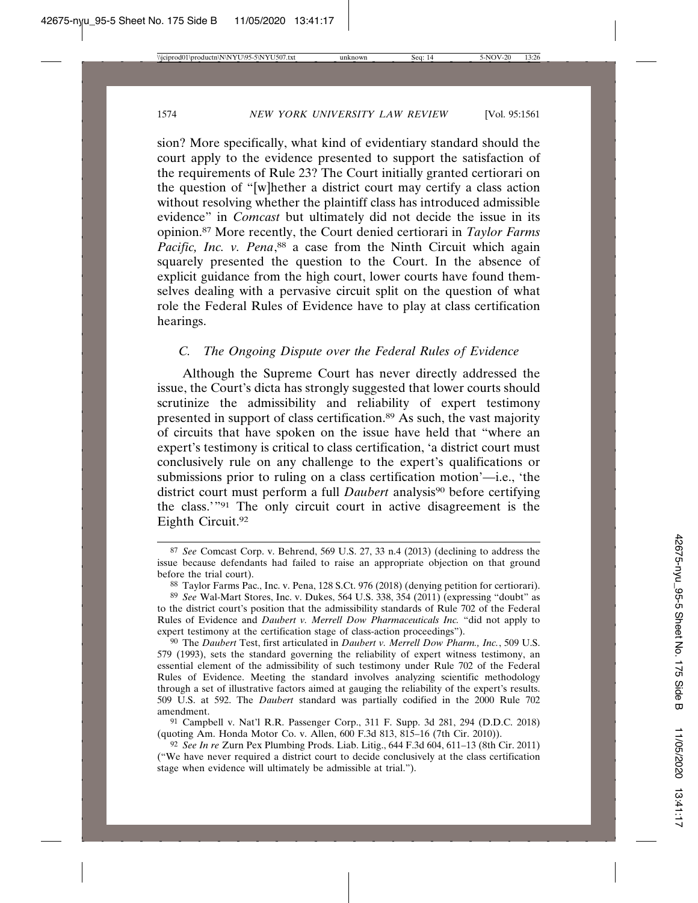sion? More specifically, what kind of evidentiary standard should the court apply to the evidence presented to support the satisfaction of the requirements of Rule 23? The Court initially granted certiorari on the question of "[w]hether a district court may certify a class action without resolving whether the plaintiff class has introduced admissible evidence" in *Comcast* but ultimately did not decide the issue in its opinion.87 More recently, the Court denied certiorari in *Taylor Farms* Pacific, Inc. v. Pena,<sup>88</sup> a case from the Ninth Circuit which again squarely presented the question to the Court. In the absence of explicit guidance from the high court, lower courts have found themselves dealing with a pervasive circuit split on the question of what role the Federal Rules of Evidence have to play at class certification hearings.

# *C. The Ongoing Dispute over the Federal Rules of Evidence*

Although the Supreme Court has never directly addressed the issue, the Court's dicta has strongly suggested that lower courts should scrutinize the admissibility and reliability of expert testimony presented in support of class certification.89 As such, the vast majority of circuits that have spoken on the issue have held that "where an expert's testimony is critical to class certification, 'a district court must conclusively rule on any challenge to the expert's qualifications or submissions prior to ruling on a class certification motion'—i.e., 'the district court must perform a full *Daubert* analysis<sup>90</sup> before certifying the class.'"91 The only circuit court in active disagreement is the Eighth Circuit.92

<sup>87</sup> *See* Comcast Corp. v. Behrend, 569 U.S. 27, 33 n.4 (2013) (declining to address the issue because defendants had failed to raise an appropriate objection on that ground before the trial court).

<sup>88</sup> Taylor Farms Pac., Inc. v. Pena, 128 S.Ct. 976 (2018) (denying petition for certiorari).

<sup>89</sup> *See* Wal-Mart Stores, Inc. v. Dukes, 564 U.S. 338, 354 (2011) (expressing "doubt" as to the district court's position that the admissibility standards of Rule 702 of the Federal Rules of Evidence and *Daubert v. Merrell Dow Pharmaceuticals Inc.* "did not apply to expert testimony at the certification stage of class-action proceedings").

<sup>90</sup> The *Daubert* Test, first articulated in *Daubert v. Merrell Dow Pharm., Inc.*, 509 U.S. 579 (1993), sets the standard governing the reliability of expert witness testimony, an essential element of the admissibility of such testimony under Rule 702 of the Federal Rules of Evidence. Meeting the standard involves analyzing scientific methodology through a set of illustrative factors aimed at gauging the reliability of the expert's results. 509 U.S. at 592. The *Daubert* standard was partially codified in the 2000 Rule 702 amendment.

<sup>91</sup> Campbell v. Nat'l R.R. Passenger Corp., 311 F. Supp. 3d 281, 294 (D.D.C. 2018) (quoting Am. Honda Motor Co. v. Allen, 600 F.3d 813, 815–16 (7th Cir. 2010)).

<sup>92</sup> *See In re* Zurn Pex Plumbing Prods. Liab. Litig., 644 F.3d 604, 611–13 (8th Cir. 2011) ("We have never required a district court to decide conclusively at the class certification stage when evidence will ultimately be admissible at trial.").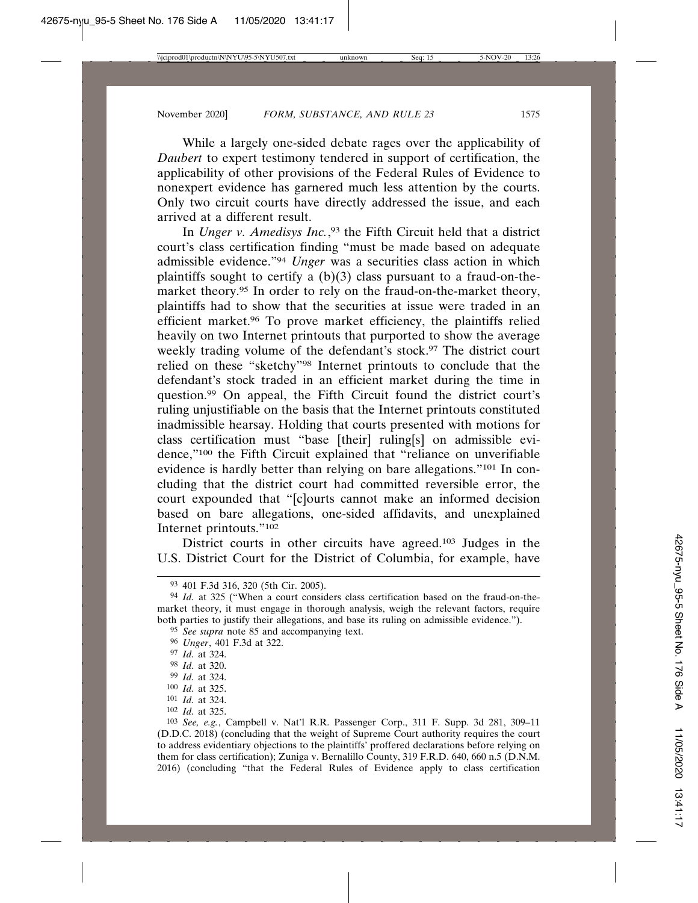While a largely one-sided debate rages over the applicability of *Daubert* to expert testimony tendered in support of certification, the applicability of other provisions of the Federal Rules of Evidence to nonexpert evidence has garnered much less attention by the courts. Only two circuit courts have directly addressed the issue, and each arrived at a different result.

In *Unger v. Amedisys Inc.*, 93 the Fifth Circuit held that a district court's class certification finding "must be made based on adequate admissible evidence."94 *Unger* was a securities class action in which plaintiffs sought to certify a  $(b)(3)$  class pursuant to a fraud-on-themarket theory.95 In order to rely on the fraud-on-the-market theory, plaintiffs had to show that the securities at issue were traded in an efficient market.96 To prove market efficiency, the plaintiffs relied heavily on two Internet printouts that purported to show the average weekly trading volume of the defendant's stock.<sup>97</sup> The district court relied on these "sketchy"98 Internet printouts to conclude that the defendant's stock traded in an efficient market during the time in question.99 On appeal, the Fifth Circuit found the district court's ruling unjustifiable on the basis that the Internet printouts constituted inadmissible hearsay. Holding that courts presented with motions for class certification must "base [their] ruling[s] on admissible evidence,"100 the Fifth Circuit explained that "reliance on unverifiable evidence is hardly better than relying on bare allegations."101 In concluding that the district court had committed reversible error, the court expounded that "[c]ourts cannot make an informed decision based on bare allegations, one-sided affidavits, and unexplained Internet printouts."102

District courts in other circuits have agreed.103 Judges in the U.S. District Court for the District of Columbia, for example, have

- 95 *See supra* note 85 and accompanying text.
- 96 *Unger*, 401 F.3d at 322.

102 *Id.* at 325.

<sup>93</sup> 401 F.3d 316, 320 (5th Cir. 2005).

<sup>94</sup> *Id.* at 325 ("When a court considers class certification based on the fraud-on-themarket theory, it must engage in thorough analysis, weigh the relevant factors, require both parties to justify their allegations, and base its ruling on admissible evidence.").

<sup>97</sup> *Id.* at 324.

<sup>98</sup> *Id.* at 320.

<sup>99</sup> *Id.* at 324.

<sup>100</sup> *Id.* at 325.

<sup>101</sup> *Id.* at 324.

<sup>103</sup> *See, e.g.*, Campbell v. Nat'l R.R. Passenger Corp., 311 F. Supp. 3d 281, 309–11 (D.D.C. 2018) (concluding that the weight of Supreme Court authority requires the court to address evidentiary objections to the plaintiffs' proffered declarations before relying on them for class certification); Zuniga v. Bernalillo County, 319 F.R.D. 640, 660 n.5 (D.N.M. 2016) (concluding "that the Federal Rules of Evidence apply to class certification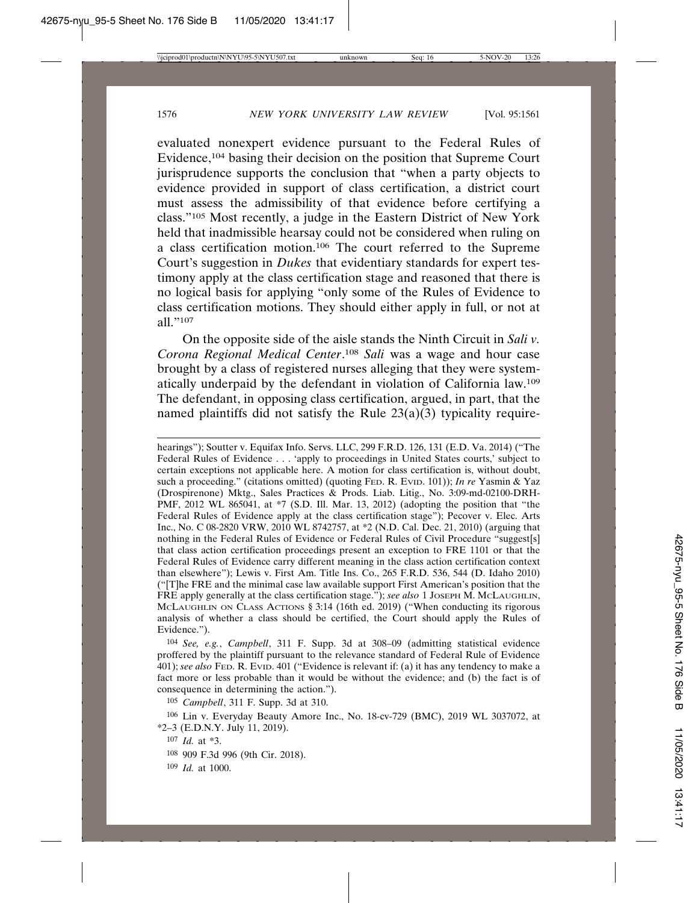evaluated nonexpert evidence pursuant to the Federal Rules of Evidence,104 basing their decision on the position that Supreme Court jurisprudence supports the conclusion that "when a party objects to evidence provided in support of class certification, a district court must assess the admissibility of that evidence before certifying a class."105 Most recently, a judge in the Eastern District of New York held that inadmissible hearsay could not be considered when ruling on a class certification motion.106 The court referred to the Supreme Court's suggestion in *Dukes* that evidentiary standards for expert testimony apply at the class certification stage and reasoned that there is no logical basis for applying "only some of the Rules of Evidence to class certification motions. They should either apply in full, or not at all."107

On the opposite side of the aisle stands the Ninth Circuit in *Sali v. Corona Regional Medical Center*. <sup>108</sup> *Sali* was a wage and hour case brought by a class of registered nurses alleging that they were systematically underpaid by the defendant in violation of California law.109 The defendant, in opposing class certification, argued, in part, that the named plaintiffs did not satisfy the Rule 23(a)(3) typicality require-

hearings"); Soutter v. Equifax Info. Servs. LLC, 299 F.R.D. 126, 131 (E.D. Va. 2014) ("The Federal Rules of Evidence . . . 'apply to proceedings in United States courts,' subject to certain exceptions not applicable here. A motion for class certification is, without doubt, such a proceeding." (citations omitted) (quoting FED. R. EVID. 101)); *In re* Yasmin & Yaz (Drospirenone) Mktg., Sales Practices & Prods. Liab. Litig., No. 3:09-md-02100-DRH-PMF, 2012 WL 865041, at \*7 (S.D. Ill. Mar. 13, 2012) (adopting the position that "the Federal Rules of Evidence apply at the class certification stage"); Pecover v. Elec. Arts Inc., No. C 08-2820 VRW, 2010 WL 8742757, at \*2 (N.D. Cal. Dec. 21, 2010) (arguing that nothing in the Federal Rules of Evidence or Federal Rules of Civil Procedure "suggest[s] that class action certification proceedings present an exception to FRE 1101 or that the Federal Rules of Evidence carry different meaning in the class action certification context than elsewhere"); Lewis v. First Am. Title Ins. Co., 265 F.R.D. 536, 544 (D. Idaho 2010) ("[T]he FRE and the minimal case law available support First American's position that the FRE apply generally at the class certification stage."); *see also* 1 JOSEPH M. MCLAUGHLIN, McLAUGHLIN ON CLASS ACTIONS § 3:14 (16th ed. 2019) ("When conducting its rigorous analysis of whether a class should be certified, the Court should apply the Rules of Evidence.").

104 *See, e.g.*, *Campbell*, 311 F. Supp. 3d at 308–09 (admitting statistical evidence proffered by the plaintiff pursuant to the relevance standard of Federal Rule of Evidence 401); *see also* FED. R. EVID. 401 ("Evidence is relevant if: (a) it has any tendency to make a fact more or less probable than it would be without the evidence; and (b) the fact is of consequence in determining the action.").

105 *Campbell*, 311 F. Supp. 3d at 310.

106 Lin v. Everyday Beauty Amore Inc., No. 18-cv-729 (BMC), 2019 WL 3037072, at \*2–3 (E.D.N.Y. July 11, 2019).

- 108 909 F.3d 996 (9th Cir. 2018).
- 109 *Id.* at 1000.

<sup>107</sup> *Id.* at \*3.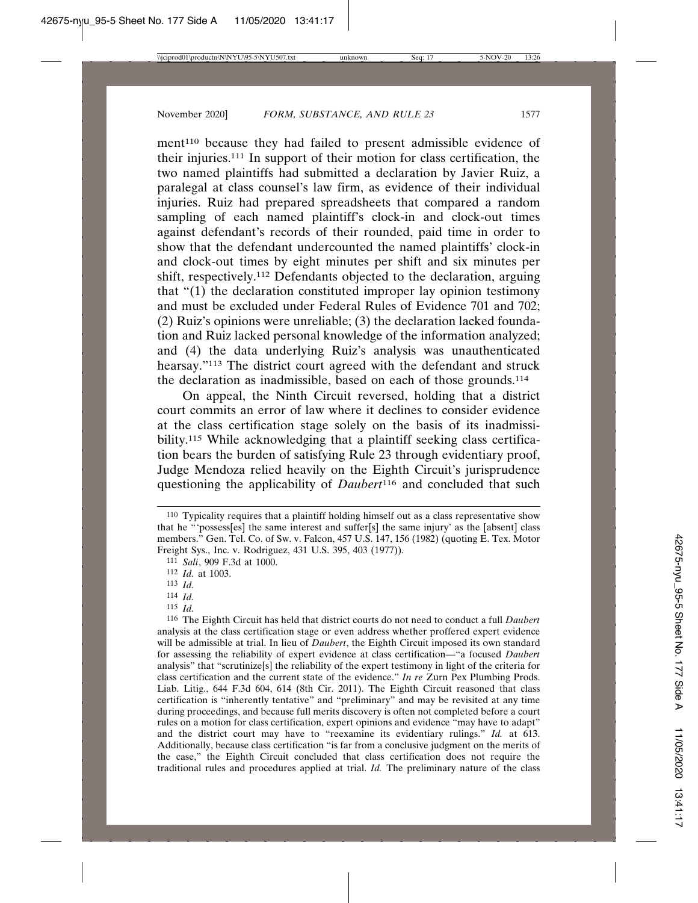ment<sup>110</sup> because they had failed to present admissible evidence of their injuries.111 In support of their motion for class certification, the two named plaintiffs had submitted a declaration by Javier Ruiz, a paralegal at class counsel's law firm, as evidence of their individual injuries. Ruiz had prepared spreadsheets that compared a random sampling of each named plaintiff's clock-in and clock-out times against defendant's records of their rounded, paid time in order to show that the defendant undercounted the named plaintiffs' clock-in and clock-out times by eight minutes per shift and six minutes per shift, respectively.112 Defendants objected to the declaration, arguing that "(1) the declaration constituted improper lay opinion testimony and must be excluded under Federal Rules of Evidence 701 and 702; (2) Ruiz's opinions were unreliable; (3) the declaration lacked foundation and Ruiz lacked personal knowledge of the information analyzed; and (4) the data underlying Ruiz's analysis was unauthenticated hearsay."<sup>113</sup> The district court agreed with the defendant and struck the declaration as inadmissible, based on each of those grounds.114

On appeal, the Ninth Circuit reversed, holding that a district court commits an error of law where it declines to consider evidence at the class certification stage solely on the basis of its inadmissibility.<sup>115</sup> While acknowledging that a plaintiff seeking class certification bears the burden of satisfying Rule 23 through evidentiary proof, Judge Mendoza relied heavily on the Eighth Circuit's jurisprudence questioning the applicability of *Daubert*116 and concluded that such

- 114 *Id.*
- 115 *Id.*

116 The Eighth Circuit has held that district courts do not need to conduct a full *Daubert* analysis at the class certification stage or even address whether proffered expert evidence will be admissible at trial. In lieu of *Daubert*, the Eighth Circuit imposed its own standard for assessing the reliability of expert evidence at class certification—"a focused *Daubert* analysis" that "scrutinize[s] the reliability of the expert testimony in light of the criteria for class certification and the current state of the evidence." *In re* Zurn Pex Plumbing Prods. Liab. Litig., 644 F.3d 604, 614 (8th Cir. 2011). The Eighth Circuit reasoned that class certification is "inherently tentative" and "preliminary" and may be revisited at any time during proceedings, and because full merits discovery is often not completed before a court rules on a motion for class certification, expert opinions and evidence "may have to adapt" and the district court may have to "reexamine its evidentiary rulings." *Id.* at 613. Additionally, because class certification "is far from a conclusive judgment on the merits of the case," the Eighth Circuit concluded that class certification does not require the traditional rules and procedures applied at trial. *Id.* The preliminary nature of the class

<sup>110</sup> Typicality requires that a plaintiff holding himself out as a class representative show that he "'possess[es] the same interest and suffer[s] the same injury' as the [absent] class members." Gen. Tel. Co. of Sw. v. Falcon, 457 U.S. 147, 156 (1982) (quoting E. Tex. Motor Freight Sys., Inc. v. Rodriguez, 431 U.S. 395, 403 (1977)).

<sup>111</sup> *Sali*, 909 F.3d at 1000.

<sup>112</sup> *Id.* at 1003.

<sup>113</sup> *Id.*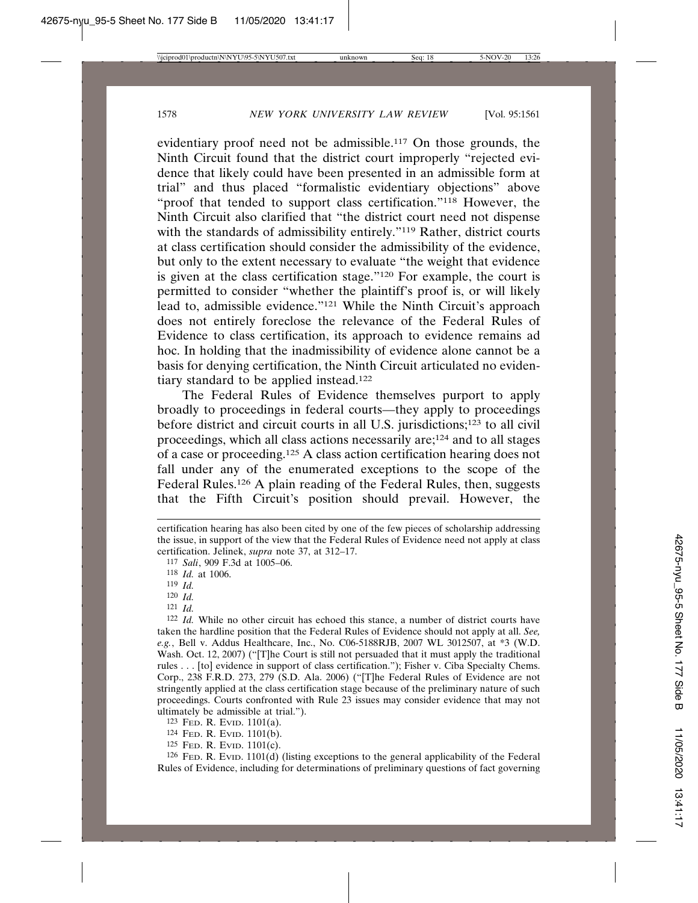evidentiary proof need not be admissible.117 On those grounds, the Ninth Circuit found that the district court improperly "rejected evidence that likely could have been presented in an admissible form at trial" and thus placed "formalistic evidentiary objections" above "proof that tended to support class certification."118 However, the Ninth Circuit also clarified that "the district court need not dispense with the standards of admissibility entirely."<sup>119</sup> Rather, district courts at class certification should consider the admissibility of the evidence, but only to the extent necessary to evaluate "the weight that evidence is given at the class certification stage."120 For example, the court is permitted to consider "whether the plaintiff's proof is, or will likely lead to, admissible evidence."121 While the Ninth Circuit's approach does not entirely foreclose the relevance of the Federal Rules of Evidence to class certification, its approach to evidence remains ad hoc. In holding that the inadmissibility of evidence alone cannot be a basis for denying certification, the Ninth Circuit articulated no evidentiary standard to be applied instead.122

The Federal Rules of Evidence themselves purport to apply broadly to proceedings in federal courts—they apply to proceedings before district and circuit courts in all U.S. jurisdictions;123 to all civil proceedings, which all class actions necessarily are;124 and to all stages of a case or proceeding.125 A class action certification hearing does not fall under any of the enumerated exceptions to the scope of the Federal Rules.126 A plain reading of the Federal Rules, then, suggests that the Fifth Circuit's position should prevail. However, the

121 *Id.*

122 *Id.* While no other circuit has echoed this stance, a number of district courts have taken the hardline position that the Federal Rules of Evidence should not apply at all. *See, e.g.*, Bell v. Addus Healthcare, Inc., No. C06-5188RJB, 2007 WL 3012507, at \*3 (W.D. Wash. Oct. 12, 2007) ("[T]he Court is still not persuaded that it must apply the traditional rules . . . [to] evidence in support of class certification."); Fisher v. Ciba Specialty Chems. Corp., 238 F.R.D. 273, 279 (S.D. Ala. 2006) ("[T]he Federal Rules of Evidence are not stringently applied at the class certification stage because of the preliminary nature of such proceedings. Courts confronted with Rule 23 issues may consider evidence that may not ultimately be admissible at trial.").

125 FED. R. EVID. 1101(c).

126 FED. R. EVID. 1101(d) (listing exceptions to the general applicability of the Federal Rules of Evidence, including for determinations of preliminary questions of fact governing

certification hearing has also been cited by one of the few pieces of scholarship addressing the issue, in support of the view that the Federal Rules of Evidence need not apply at class certification. Jelinek, *supra* note 37, at 312–17.

<sup>117</sup> *Sali*, 909 F.3d at 1005–06.

<sup>118</sup> *Id.* at 1006.

<sup>119</sup> *Id.*

<sup>120</sup> *Id.*

<sup>123</sup> FED. R. EVID. 1101(a).

<sup>124</sup> FED. R. EVID. 1101(b).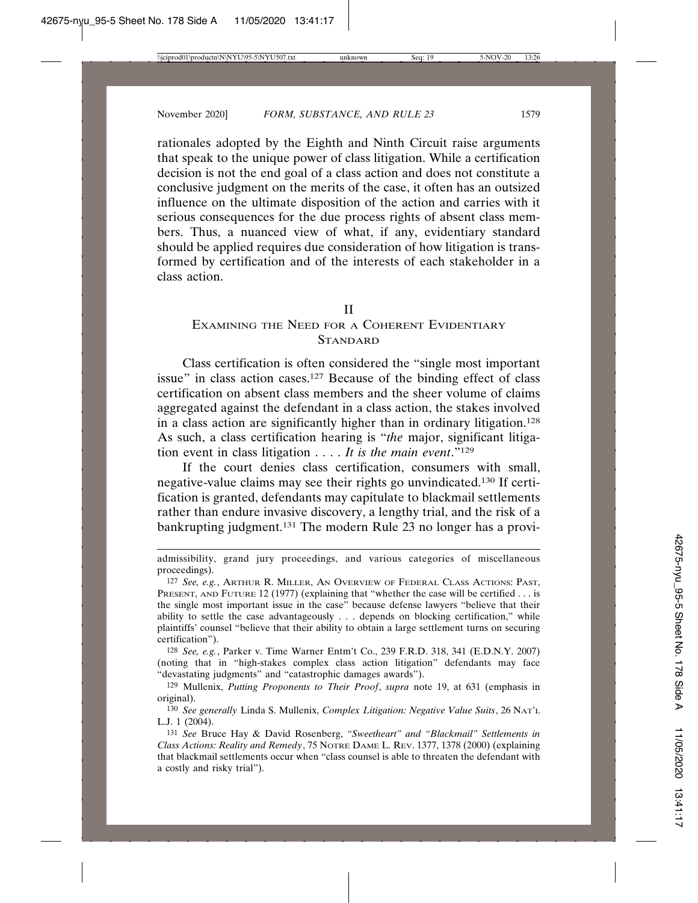rationales adopted by the Eighth and Ninth Circuit raise arguments that speak to the unique power of class litigation. While a certification decision is not the end goal of a class action and does not constitute a conclusive judgment on the merits of the case, it often has an outsized influence on the ultimate disposition of the action and carries with it serious consequences for the due process rights of absent class members. Thus, a nuanced view of what, if any, evidentiary standard should be applied requires due consideration of how litigation is transformed by certification and of the interests of each stakeholder in a class action.

#### II

# EXAMINING THE NEED FOR A COHERENT EVIDENTIARY **STANDARD**

Class certification is often considered the "single most important issue" in class action cases.127 Because of the binding effect of class certification on absent class members and the sheer volume of claims aggregated against the defendant in a class action, the stakes involved in a class action are significantly higher than in ordinary litigation.128 As such, a class certification hearing is "*the* major, significant litigation event in class litigation . . . . *It is the main event*."129

If the court denies class certification, consumers with small, negative-value claims may see their rights go unvindicated.130 If certification is granted, defendants may capitulate to blackmail settlements rather than endure invasive discovery, a lengthy trial, and the risk of a bankrupting judgment.131 The modern Rule 23 no longer has a provi-

128 *See, e.g.*, Parker v. Time Warner Entm't Co., 239 F.R.D. 318, 341 (E.D.N.Y. 2007) (noting that in "high-stakes complex class action litigation" defendants may face "devastating judgments" and "catastrophic damages awards").

admissibility, grand jury proceedings, and various categories of miscellaneous proceedings).

<sup>127</sup> *See, e.g.*, ARTHUR R. MILLER, AN OVERVIEW OF FEDERAL CLASS ACTIONS: PAST, PRESENT, AND FUTURE 12 (1977) (explaining that "whether the case will be certified . . . is the single most important issue in the case" because defense lawyers "believe that their ability to settle the case advantageously . . . depends on blocking certification," while plaintiffs' counsel "believe that their ability to obtain a large settlement turns on securing certification").

<sup>129</sup> Mullenix, *Putting Proponents to Their Proof*, *supra* note 19, at 631 (emphasis in original).

<sup>130</sup> *See generally* Linda S. Mullenix, *Complex Litigation: Negative Value Suits*, 26 NAT'L L.J. 1 (2004).

<sup>131</sup> *See* Bruce Hay & David Rosenberg, *"Sweetheart" and "Blackmail" Settlements in Class Actions: Reality and Remedy*, 75 NOTRE DAME L. REV. 1377, 1378 (2000) (explaining that blackmail settlements occur when "class counsel is able to threaten the defendant with a costly and risky trial").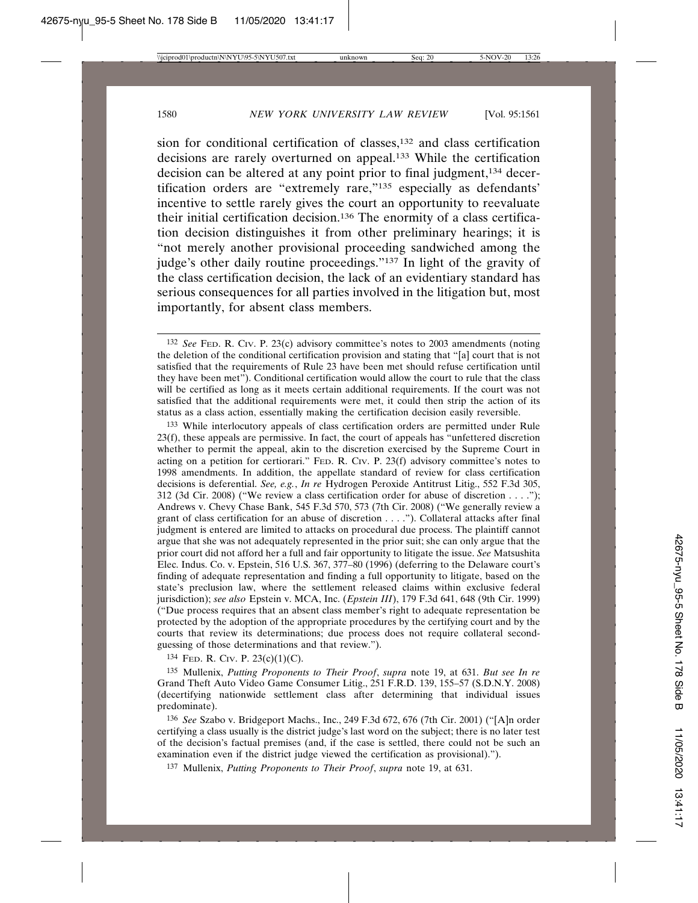sion for conditional certification of classes,132 and class certification decisions are rarely overturned on appeal.133 While the certification decision can be altered at any point prior to final judgment,134 decertification orders are "extremely rare,"135 especially as defendants' incentive to settle rarely gives the court an opportunity to reevaluate their initial certification decision.136 The enormity of a class certification decision distinguishes it from other preliminary hearings; it is "not merely another provisional proceeding sandwiched among the judge's other daily routine proceedings."137 In light of the gravity of the class certification decision, the lack of an evidentiary standard has serious consequences for all parties involved in the litigation but, most importantly, for absent class members.

133 While interlocutory appeals of class certification orders are permitted under Rule 23(f), these appeals are permissive. In fact, the court of appeals has "unfettered discretion whether to permit the appeal, akin to the discretion exercised by the Supreme Court in acting on a petition for certiorari." FED. R. CIV. P. 23(f) advisory committee's notes to 1998 amendments. In addition, the appellate standard of review for class certification decisions is deferential. *See, e.g.*, *In re* Hydrogen Peroxide Antitrust Litig., 552 F.3d 305, 312 (3d Cir. 2008) ("We review a class certification order for abuse of discretion . . . ."); Andrews v. Chevy Chase Bank, 545 F.3d 570, 573 (7th Cir. 2008) ("We generally review a grant of class certification for an abuse of discretion . . . ."). Collateral attacks after final judgment is entered are limited to attacks on procedural due process. The plaintiff cannot argue that she was not adequately represented in the prior suit; she can only argue that the prior court did not afford her a full and fair opportunity to litigate the issue. *See* Matsushita Elec. Indus. Co. v. Epstein, 516 U.S. 367, 377–80 (1996) (deferring to the Delaware court's finding of adequate representation and finding a full opportunity to litigate, based on the state's preclusion law, where the settlement released claims within exclusive federal jurisdiction); *see also* Epstein v. MCA, Inc. (*Epstein III*), 179 F.3d 641, 648 (9th Cir. 1999) ("Due process requires that an absent class member's right to adequate representation be protected by the adoption of the appropriate procedures by the certifying court and by the courts that review its determinations; due process does not require collateral secondguessing of those determinations and that review.").

134 FED. R. CIV. P. 23(c)(1)(C).

135 Mullenix, *Putting Proponents to Their Proof*, *supra* note 19, at 631. *But see In re* Grand Theft Auto Video Game Consumer Litig., 251 F.R.D. 139, 155–57 (S.D.N.Y. 2008) (decertifying nationwide settlement class after determining that individual issues predominate).

136 *See* Szabo v. Bridgeport Machs., Inc., 249 F.3d 672, 676 (7th Cir. 2001) ("[A]n order certifying a class usually is the district judge's last word on the subject; there is no later test of the decision's factual premises (and, if the case is settled, there could not be such an examination even if the district judge viewed the certification as provisional).").

137 Mullenix, *Putting Proponents to Their Proof*, *supra* note 19, at 631.

<sup>132</sup> *See* FED. R. CIV. P. 23(c) advisory committee's notes to 2003 amendments (noting the deletion of the conditional certification provision and stating that "[a] court that is not satisfied that the requirements of Rule 23 have been met should refuse certification until they have been met"). Conditional certification would allow the court to rule that the class will be certified as long as it meets certain additional requirements. If the court was not satisfied that the additional requirements were met, it could then strip the action of its status as a class action, essentially making the certification decision easily reversible.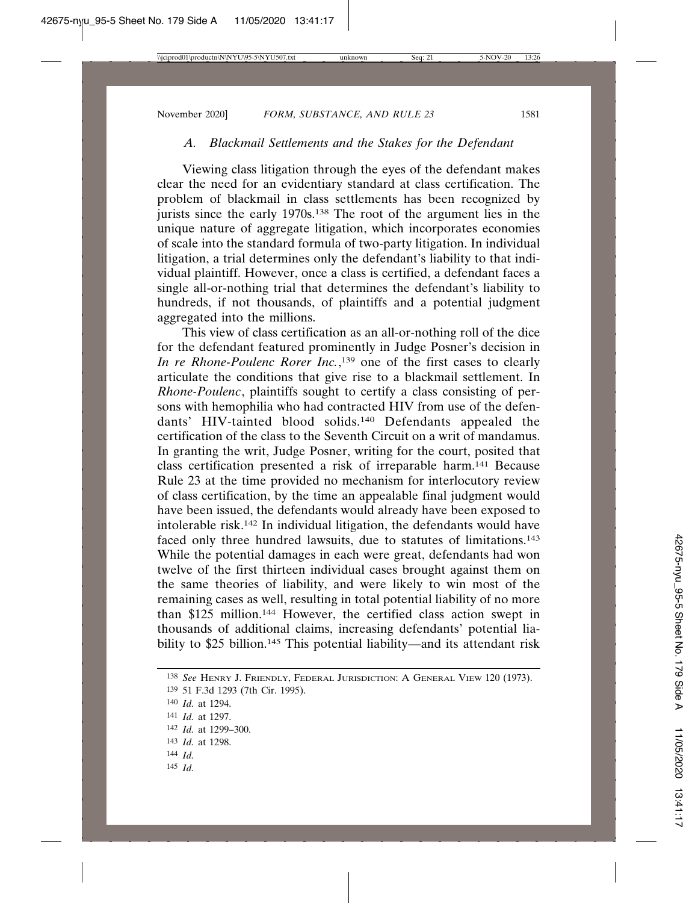## *A. Blackmail Settlements and the Stakes for the Defendant*

Viewing class litigation through the eyes of the defendant makes clear the need for an evidentiary standard at class certification. The problem of blackmail in class settlements has been recognized by jurists since the early 1970s.138 The root of the argument lies in the unique nature of aggregate litigation, which incorporates economies of scale into the standard formula of two-party litigation. In individual litigation, a trial determines only the defendant's liability to that individual plaintiff. However, once a class is certified, a defendant faces a single all-or-nothing trial that determines the defendant's liability to hundreds, if not thousands, of plaintiffs and a potential judgment aggregated into the millions.

This view of class certification as an all-or-nothing roll of the dice for the defendant featured prominently in Judge Posner's decision in *In re Rhone-Poulenc Rorer Inc.*, 139 one of the first cases to clearly articulate the conditions that give rise to a blackmail settlement. In *Rhone-Poulenc*, plaintiffs sought to certify a class consisting of persons with hemophilia who had contracted HIV from use of the defendants' HIV-tainted blood solids.140 Defendants appealed the certification of the class to the Seventh Circuit on a writ of mandamus. In granting the writ, Judge Posner, writing for the court, posited that class certification presented a risk of irreparable harm.141 Because Rule 23 at the time provided no mechanism for interlocutory review of class certification, by the time an appealable final judgment would have been issued, the defendants would already have been exposed to intolerable risk.142 In individual litigation, the defendants would have faced only three hundred lawsuits, due to statutes of limitations.143 While the potential damages in each were great, defendants had won twelve of the first thirteen individual cases brought against them on the same theories of liability, and were likely to win most of the remaining cases as well, resulting in total potential liability of no more than \$125 million.144 However, the certified class action swept in thousands of additional claims, increasing defendants' potential liability to \$25 billion.<sup>145</sup> This potential liability—and its attendant risk

- 144 *Id.*
- 145 *Id.*

<sup>138</sup> *See* HENRY J. FRIENDLY, FEDERAL JURISDICTION: A GENERAL VIEW 120 (1973).

<sup>139</sup> 51 F.3d 1293 (7th Cir. 1995).

<sup>140</sup> *Id.* at 1294.

<sup>141</sup> *Id.* at 1297.

<sup>142</sup> *Id.* at 1299–300.

<sup>143</sup> *Id.* at 1298.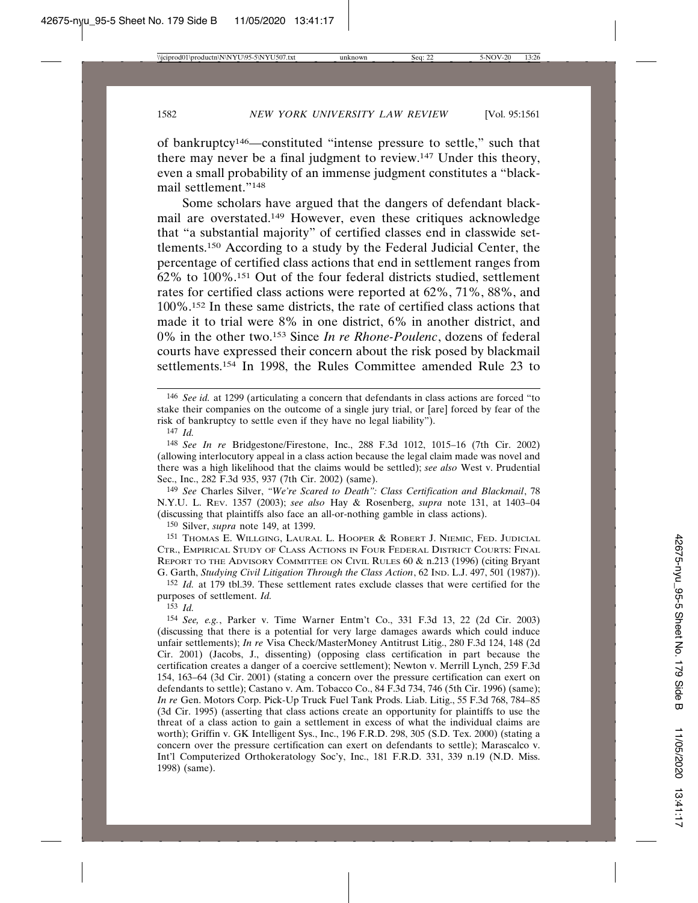of bankruptcy146—constituted "intense pressure to settle," such that there may never be a final judgment to review.147 Under this theory, even a small probability of an immense judgment constitutes a "blackmail settlement."148

Some scholars have argued that the dangers of defendant blackmail are overstated.149 However, even these critiques acknowledge that "a substantial majority" of certified classes end in classwide settlements.150 According to a study by the Federal Judicial Center, the percentage of certified class actions that end in settlement ranges from 62% to 100%.151 Out of the four federal districts studied, settlement rates for certified class actions were reported at 62%, 71%, 88%, and 100%.152 In these same districts, the rate of certified class actions that made it to trial were 8% in one district, 6% in another district, and 0% in the other two.153 Since *In re Rhone-Poulenc*, dozens of federal courts have expressed their concern about the risk posed by blackmail settlements.154 In 1998, the Rules Committee amended Rule 23 to

149 *See* Charles Silver, *"We're Scared to Death": Class Certification and Blackmail*, 78 N.Y.U. L. REV. 1357 (2003); *see also* Hay & Rosenberg, *supra* note 131, at 1403–04 (discussing that plaintiffs also face an all-or-nothing gamble in class actions).

150 Silver, *supra* note 149, at 1399.

151 THOMAS E. WILLGING, LAURAL L. HOOPER & ROBERT J. NIEMIC, FED. JUDICIAL CTR., EMPIRICAL STUDY OF CLASS ACTIONS IN FOUR FEDERAL DISTRICT COURTS: FINAL REPORT TO THE ADVISORY COMMITTEE ON CIVIL RULES 60 & n.213 (1996) (citing Bryant G. Garth, *Studying Civil Litigation Through the Class Action*, 62 IND. L.J. 497, 501 (1987)).

152 *Id.* at 179 tbl.39. These settlement rates exclude classes that were certified for the purposes of settlement. *Id.*

153 *Id.*

<sup>146</sup> *See id.* at 1299 (articulating a concern that defendants in class actions are forced "to stake their companies on the outcome of a single jury trial, or [are] forced by fear of the risk of bankruptcy to settle even if they have no legal liability").

<sup>147</sup> *Id.*

<sup>148</sup> *See In re* Bridgestone/Firestone, Inc., 288 F.3d 1012, 1015–16 (7th Cir. 2002) (allowing interlocutory appeal in a class action because the legal claim made was novel and there was a high likelihood that the claims would be settled); *see also* West v. Prudential Sec., Inc., 282 F.3d 935, 937 (7th Cir. 2002) (same).

<sup>154</sup> *See, e.g.*, Parker v. Time Warner Entm't Co., 331 F.3d 13, 22 (2d Cir. 2003) (discussing that there is a potential for very large damages awards which could induce unfair settlements); *In re* Visa Check/MasterMoney Antitrust Litig., 280 F.3d 124, 148 (2d Cir. 2001) (Jacobs, J., dissenting) (opposing class certification in part because the certification creates a danger of a coercive settlement); Newton v. Merrill Lynch, 259 F.3d 154, 163–64 (3d Cir. 2001) (stating a concern over the pressure certification can exert on defendants to settle); Castano v. Am. Tobacco Co., 84 F.3d 734, 746 (5th Cir. 1996) (same); *In re* Gen. Motors Corp. Pick-Up Truck Fuel Tank Prods. Liab. Litig., 55 F.3d 768, 784–85 (3d Cir. 1995) (asserting that class actions create an opportunity for plaintiffs to use the threat of a class action to gain a settlement in excess of what the individual claims are worth); Griffin v. GK Intelligent Sys., Inc., 196 F.R.D. 298, 305 (S.D. Tex. 2000) (stating a concern over the pressure certification can exert on defendants to settle); Marascalco v. Int'l Computerized Orthokeratology Soc'y, Inc., 181 F.R.D. 331, 339 n.19 (N.D. Miss. 1998) (same).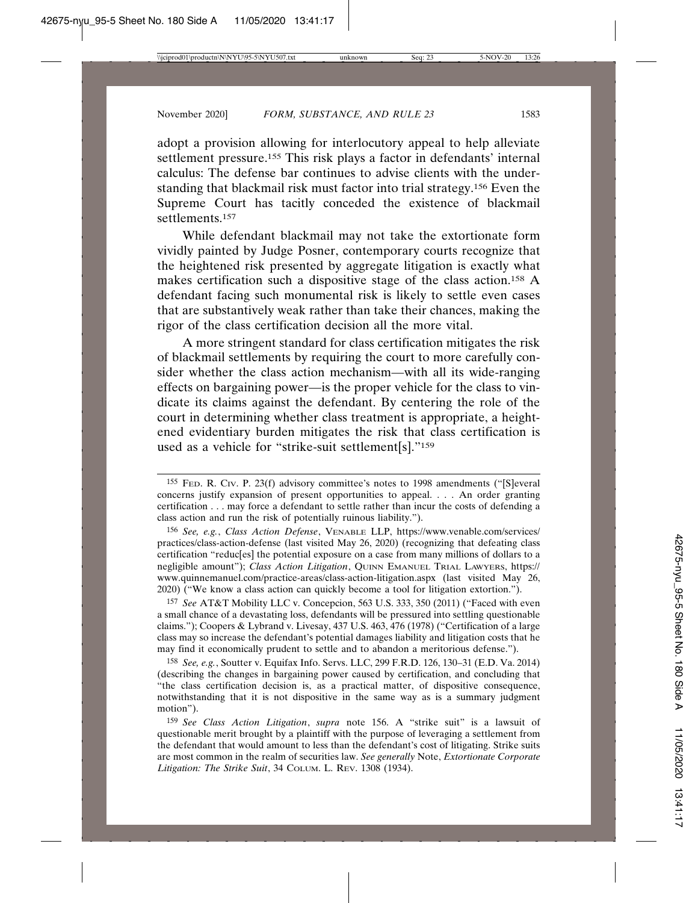adopt a provision allowing for interlocutory appeal to help alleviate settlement pressure.155 This risk plays a factor in defendants' internal calculus: The defense bar continues to advise clients with the understanding that blackmail risk must factor into trial strategy.156 Even the Supreme Court has tacitly conceded the existence of blackmail settlements.<sup>157</sup>

While defendant blackmail may not take the extortionate form vividly painted by Judge Posner, contemporary courts recognize that the heightened risk presented by aggregate litigation is exactly what makes certification such a dispositive stage of the class action.158 A defendant facing such monumental risk is likely to settle even cases that are substantively weak rather than take their chances, making the rigor of the class certification decision all the more vital.

A more stringent standard for class certification mitigates the risk of blackmail settlements by requiring the court to more carefully consider whether the class action mechanism—with all its wide-ranging effects on bargaining power—is the proper vehicle for the class to vindicate its claims against the defendant. By centering the role of the court in determining whether class treatment is appropriate, a heightened evidentiary burden mitigates the risk that class certification is used as a vehicle for "strike-suit settlement[s]."159

156 *See, e.g.*, *Class Action Defense*, VENABLE LLP, https://www.venable.com/services/ practices/class-action-defense (last visited May 26, 2020) (recognizing that defeating class certification "reduc[es] the potential exposure on a case from many millions of dollars to a negligible amount"); *Class Action Litigation*, QUINN EMANUEL TRIAL LAWYERS, https:// www.quinnemanuel.com/practice-areas/class-action-litigation.aspx (last visited May 26, 2020) ("We know a class action can quickly become a tool for litigation extortion.").

157 *See* AT&T Mobility LLC v. Concepcion, 563 U.S. 333, 350 (2011) ("Faced with even a small chance of a devastating loss, defendants will be pressured into settling questionable claims."); Coopers & Lybrand v. Livesay, 437 U.S. 463, 476 (1978) ("Certification of a large class may so increase the defendant's potential damages liability and litigation costs that he may find it economically prudent to settle and to abandon a meritorious defense.").

158 *See, e.g.*, Soutter v. Equifax Info. Servs. LLC, 299 F.R.D. 126, 130–31 (E.D. Va. 2014) (describing the changes in bargaining power caused by certification, and concluding that "the class certification decision is, as a practical matter, of dispositive consequence, notwithstanding that it is not dispositive in the same way as is a summary judgment motion").

159 *See Class Action Litigation*, *supra* note 156. A "strike suit" is a lawsuit of questionable merit brought by a plaintiff with the purpose of leveraging a settlement from the defendant that would amount to less than the defendant's cost of litigating. Strike suits are most common in the realm of securities law. *See generally* Note, *Extortionate Corporate Litigation: The Strike Suit*, 34 COLUM. L. REV. 1308 (1934).

<sup>155</sup> FED. R. CIV. P. 23(f) advisory committee's notes to 1998 amendments ("[S]everal concerns justify expansion of present opportunities to appeal. . . . An order granting certification . . . may force a defendant to settle rather than incur the costs of defending a class action and run the risk of potentially ruinous liability.").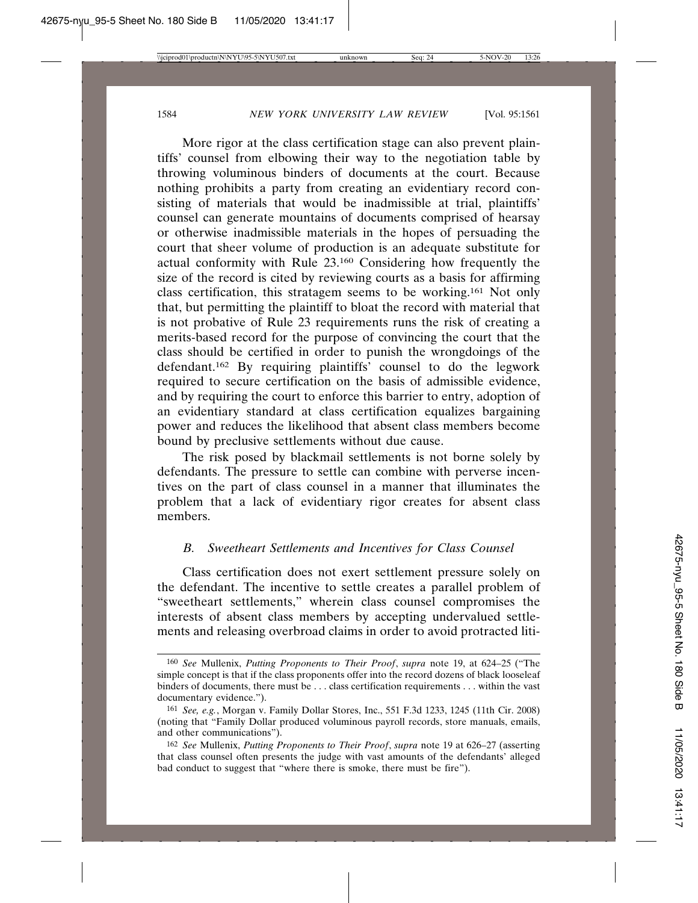More rigor at the class certification stage can also prevent plaintiffs' counsel from elbowing their way to the negotiation table by throwing voluminous binders of documents at the court. Because nothing prohibits a party from creating an evidentiary record consisting of materials that would be inadmissible at trial, plaintiffs' counsel can generate mountains of documents comprised of hearsay or otherwise inadmissible materials in the hopes of persuading the court that sheer volume of production is an adequate substitute for actual conformity with Rule 23.160 Considering how frequently the size of the record is cited by reviewing courts as a basis for affirming class certification, this stratagem seems to be working.161 Not only that, but permitting the plaintiff to bloat the record with material that is not probative of Rule 23 requirements runs the risk of creating a merits-based record for the purpose of convincing the court that the class should be certified in order to punish the wrongdoings of the defendant.162 By requiring plaintiffs' counsel to do the legwork required to secure certification on the basis of admissible evidence, and by requiring the court to enforce this barrier to entry, adoption of an evidentiary standard at class certification equalizes bargaining power and reduces the likelihood that absent class members become bound by preclusive settlements without due cause.

The risk posed by blackmail settlements is not borne solely by defendants. The pressure to settle can combine with perverse incentives on the part of class counsel in a manner that illuminates the problem that a lack of evidentiary rigor creates for absent class members.

## *B. Sweetheart Settlements and Incentives for Class Counsel*

Class certification does not exert settlement pressure solely on the defendant. The incentive to settle creates a parallel problem of "sweetheart settlements," wherein class counsel compromises the interests of absent class members by accepting undervalued settlements and releasing overbroad claims in order to avoid protracted liti-

<sup>160</sup> *See* Mullenix, *Putting Proponents to Their Proof*, *supra* note 19, at 624–25 ("The simple concept is that if the class proponents offer into the record dozens of black looseleaf binders of documents, there must be . . . class certification requirements . . . within the vast documentary evidence.").

<sup>161</sup> *See, e.g.*, Morgan v. Family Dollar Stores, Inc., 551 F.3d 1233, 1245 (11th Cir. 2008) (noting that "Family Dollar produced voluminous payroll records, store manuals, emails, and other communications").

<sup>162</sup> *See* Mullenix, *Putting Proponents to Their Proof*, *supra* note 19 at 626–27 (asserting that class counsel often presents the judge with vast amounts of the defendants' alleged bad conduct to suggest that "where there is smoke, there must be fire").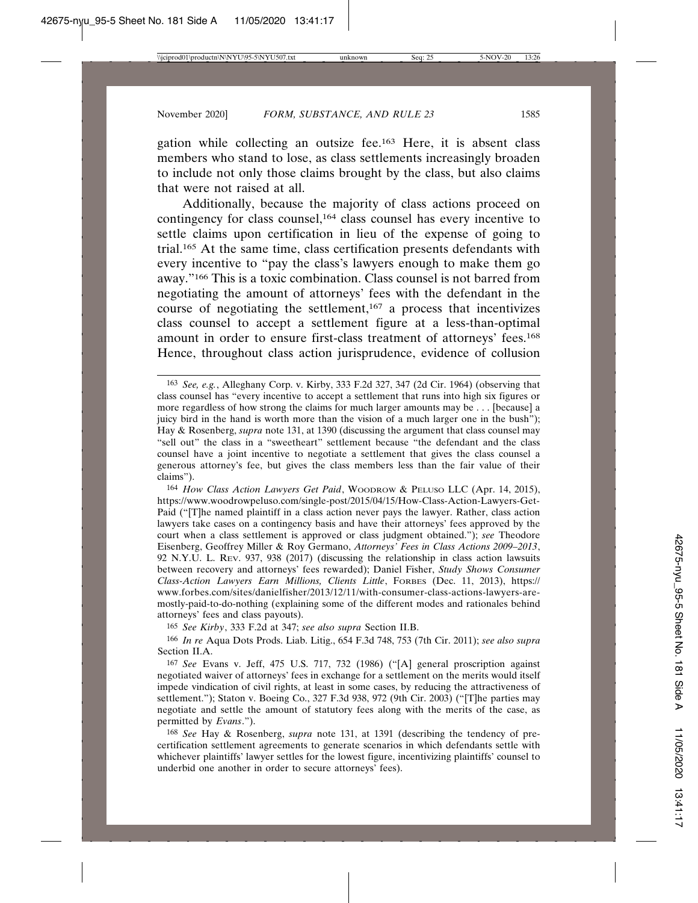gation while collecting an outsize fee.163 Here, it is absent class members who stand to lose, as class settlements increasingly broaden to include not only those claims brought by the class, but also claims that were not raised at all.

Additionally, because the majority of class actions proceed on contingency for class counsel,164 class counsel has every incentive to settle claims upon certification in lieu of the expense of going to trial.165 At the same time, class certification presents defendants with every incentive to "pay the class's lawyers enough to make them go away."166 This is a toxic combination. Class counsel is not barred from negotiating the amount of attorneys' fees with the defendant in the course of negotiating the settlement,<sup>167</sup> a process that incentivizes class counsel to accept a settlement figure at a less-than-optimal amount in order to ensure first-class treatment of attorneys' fees.168 Hence, throughout class action jurisprudence, evidence of collusion

165 *See Kirby*, 333 F.2d at 347; *see also supra* Section II.B.

<sup>163</sup> *See, e.g.*, Alleghany Corp. v. Kirby, 333 F.2d 327, 347 (2d Cir. 1964) (observing that class counsel has "every incentive to accept a settlement that runs into high six figures or more regardless of how strong the claims for much larger amounts may be . . . [because] a juicy bird in the hand is worth more than the vision of a much larger one in the bush"); Hay & Rosenberg, *supra* note 131, at 1390 (discussing the argument that class counsel may "sell out" the class in a "sweetheart" settlement because "the defendant and the class counsel have a joint incentive to negotiate a settlement that gives the class counsel a generous attorney's fee, but gives the class members less than the fair value of their claims").

<sup>164</sup> *How Class Action Lawyers Get Paid*, WOODROW & PELUSO LLC (Apr. 14, 2015), https://www.woodrowpeluso.com/single-post/2015/04/15/How-Class-Action-Lawyers-Get-Paid ("[T]he named plaintiff in a class action never pays the lawyer. Rather, class action lawyers take cases on a contingency basis and have their attorneys' fees approved by the court when a class settlement is approved or class judgment obtained."); *see* Theodore Eisenberg, Geoffrey Miller & Roy Germano, *Attorneys' Fees in Class Actions 2009–2013*, 92 N.Y.U. L. REV. 937, 938 (2017) (discussing the relationship in class action lawsuits between recovery and attorneys' fees rewarded); Daniel Fisher, *Study Shows Consumer Class-Action Lawyers Earn Millions, Clients Little*, FORBES (Dec. 11, 2013), https:// www.forbes.com/sites/danielfisher/2013/12/11/with-consumer-class-actions-lawyers-aremostly-paid-to-do-nothing (explaining some of the different modes and rationales behind attorneys' fees and class payouts).

<sup>166</sup> *In re* Aqua Dots Prods. Liab. Litig., 654 F.3d 748, 753 (7th Cir. 2011); *see also supra* Section II.A.

<sup>167</sup> *See* Evans v. Jeff, 475 U.S. 717, 732 (1986) ("[A] general proscription against negotiated waiver of attorneys' fees in exchange for a settlement on the merits would itself impede vindication of civil rights, at least in some cases, by reducing the attractiveness of settlement."); Staton v. Boeing Co., 327 F.3d 938, 972 (9th Cir. 2003) ("[T]he parties may negotiate and settle the amount of statutory fees along with the merits of the case, as permitted by *Evans*.").

<sup>168</sup> *See* Hay & Rosenberg, *supra* note 131, at 1391 (describing the tendency of precertification settlement agreements to generate scenarios in which defendants settle with whichever plaintiffs' lawyer settles for the lowest figure, incentivizing plaintiffs' counsel to underbid one another in order to secure attorneys' fees).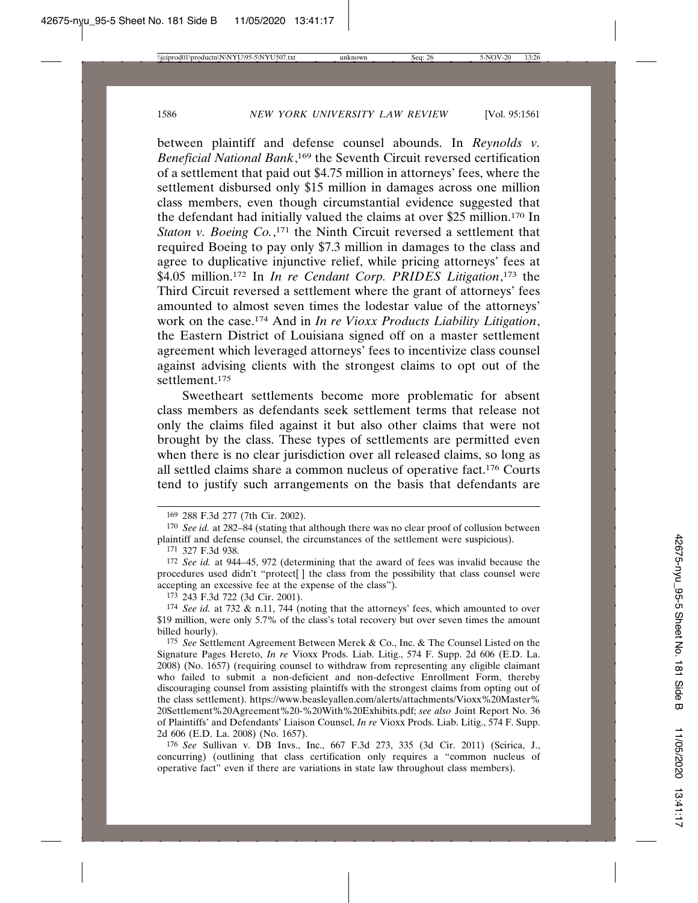between plaintiff and defense counsel abounds. In *Reynolds v. Beneficial National Bank*, 169 the Seventh Circuit reversed certification of a settlement that paid out \$4.75 million in attorneys' fees, where the settlement disbursed only \$15 million in damages across one million class members, even though circumstantial evidence suggested that the defendant had initially valued the claims at over \$25 million.170 In *Staton v. Boeing Co.*, 171 the Ninth Circuit reversed a settlement that required Boeing to pay only \$7.3 million in damages to the class and agree to duplicative injunctive relief, while pricing attorneys' fees at \$4.05 million.172 In *In re Cendant Corp. PRIDES Litigation*, 173 the Third Circuit reversed a settlement where the grant of attorneys' fees amounted to almost seven times the lodestar value of the attorneys' work on the case.174 And in *In re Vioxx Products Liability Litigation*, the Eastern District of Louisiana signed off on a master settlement agreement which leveraged attorneys' fees to incentivize class counsel against advising clients with the strongest claims to opt out of the settlement.<sup>175</sup>

Sweetheart settlements become more problematic for absent class members as defendants seek settlement terms that release not only the claims filed against it but also other claims that were not brought by the class. These types of settlements are permitted even when there is no clear jurisdiction over all released claims, so long as all settled claims share a common nucleus of operative fact.176 Courts tend to justify such arrangements on the basis that defendants are

<sup>169</sup> 288 F.3d 277 (7th Cir. 2002).

<sup>170</sup> *See id.* at 282–84 (stating that although there was no clear proof of collusion between plaintiff and defense counsel, the circumstances of the settlement were suspicious).

<sup>171</sup> 327 F.3d 938.

<sup>172</sup> *See id.* at 944–45, 972 (determining that the award of fees was invalid because the procedures used didn't "protect[ ] the class from the possibility that class counsel were accepting an excessive fee at the expense of the class").

<sup>173</sup> 243 F.3d 722 (3d Cir. 2001).

<sup>174</sup> *See id.* at 732 & n.11, 744 (noting that the attorneys' fees, which amounted to over \$19 million, were only 5.7% of the class's total recovery but over seven times the amount billed hourly).

<sup>175</sup> *See* Settlement Agreement Between Merek & Co., Inc. & The Counsel Listed on the Signature Pages Hereto, *In re* Vioxx Prods. Liab. Litig., 574 F. Supp. 2d 606 (E.D. La. 2008) (No. 1657) (requiring counsel to withdraw from representing any eligible claimant who failed to submit a non-deficient and non-defective Enrollment Form, thereby discouraging counsel from assisting plaintiffs with the strongest claims from opting out of the class settlement). https://www.beasleyallen.com/alerts/attachments/Vioxx%20Master% 20Settlement%20Agreement%20-%20With%20Exhibits.pdf; *see also* Joint Report No. 36 of Plaintiffs' and Defendants' Liaison Counsel, *In re* Vioxx Prods. Liab. Litig., 574 F. Supp. 2d 606 (E.D. La. 2008) (No. 1657).

<sup>176</sup> *See* Sullivan v. DB Invs., Inc., 667 F.3d 273, 335 (3d Cir. 2011) (Scirica, J., concurring) (outlining that class certification only requires a "common nucleus of operative fact" even if there are variations in state law throughout class members).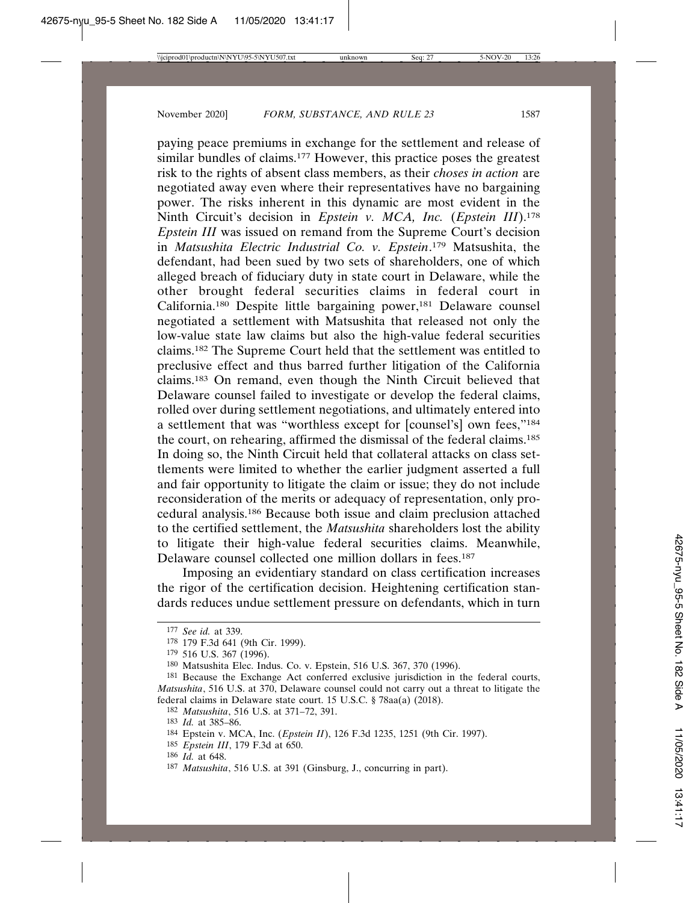paying peace premiums in exchange for the settlement and release of similar bundles of claims.<sup>177</sup> However, this practice poses the greatest risk to the rights of absent class members, as their *choses in action* are negotiated away even where their representatives have no bargaining power. The risks inherent in this dynamic are most evident in the Ninth Circuit's decision in *Epstein v. MCA, Inc.* (*Epstein III*).178 *Epstein III* was issued on remand from the Supreme Court's decision in *Matsushita Electric Industrial Co. v. Epstein*. <sup>179</sup> Matsushita, the defendant, had been sued by two sets of shareholders, one of which alleged breach of fiduciary duty in state court in Delaware, while the other brought federal securities claims in federal court in California.180 Despite little bargaining power,181 Delaware counsel negotiated a settlement with Matsushita that released not only the low-value state law claims but also the high-value federal securities claims.182 The Supreme Court held that the settlement was entitled to preclusive effect and thus barred further litigation of the California claims.183 On remand, even though the Ninth Circuit believed that Delaware counsel failed to investigate or develop the federal claims, rolled over during settlement negotiations, and ultimately entered into a settlement that was "worthless except for [counsel's] own fees,"184 the court, on rehearing, affirmed the dismissal of the federal claims.185 In doing so, the Ninth Circuit held that collateral attacks on class settlements were limited to whether the earlier judgment asserted a full and fair opportunity to litigate the claim or issue; they do not include reconsideration of the merits or adequacy of representation, only procedural analysis.186 Because both issue and claim preclusion attached to the certified settlement, the *Matsushita* shareholders lost the ability to litigate their high-value federal securities claims. Meanwhile, Delaware counsel collected one million dollars in fees.<sup>187</sup>

Imposing an evidentiary standard on class certification increases the rigor of the certification decision. Heightening certification standards reduces undue settlement pressure on defendants, which in turn

<sup>177</sup> *See id.* at 339.

<sup>178</sup> 179 F.3d 641 (9th Cir. 1999).

<sup>179</sup> 516 U.S. 367 (1996).

<sup>180</sup> Matsushita Elec. Indus. Co. v. Epstein, 516 U.S. 367, 370 (1996).

<sup>181</sup> Because the Exchange Act conferred exclusive jurisdiction in the federal courts, *Matsushita*, 516 U.S. at 370, Delaware counsel could not carry out a threat to litigate the federal claims in Delaware state court. 15 U.S.C. § 78aa(a) (2018).

<sup>182</sup> *Matsushita*, 516 U.S. at 371–72, 391.

<sup>183</sup> *Id.* at 385–86.

<sup>184</sup> Epstein v. MCA, Inc. (*Epstein II*), 126 F.3d 1235, 1251 (9th Cir. 1997).

<sup>185</sup> *Epstein III*, 179 F.3d at 650.

<sup>186</sup> *Id.* at 648.

<sup>187</sup> *Matsushita*, 516 U.S. at 391 (Ginsburg, J., concurring in part).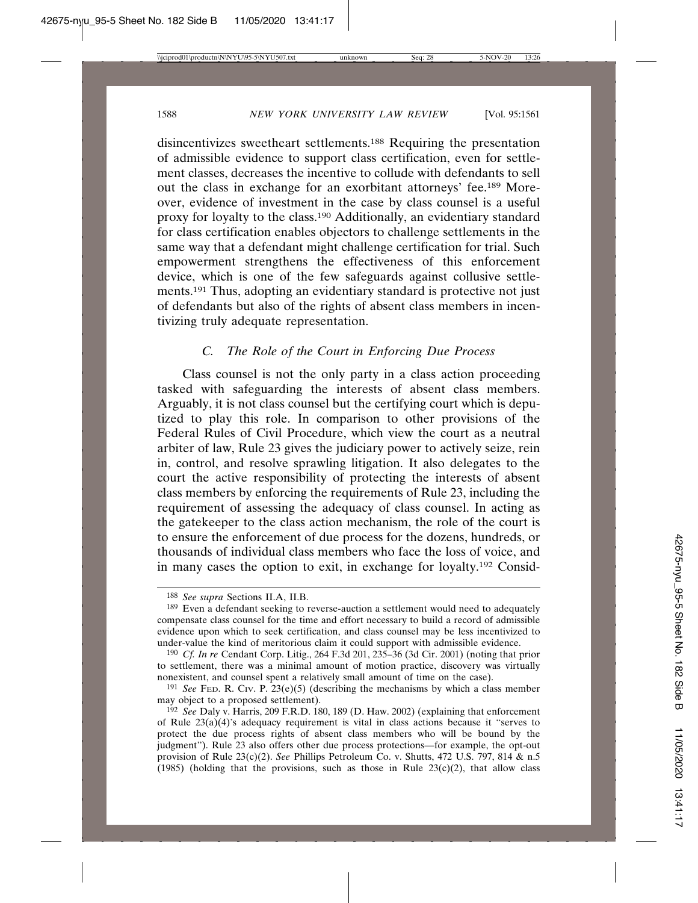disincentivizes sweetheart settlements.188 Requiring the presentation of admissible evidence to support class certification, even for settlement classes, decreases the incentive to collude with defendants to sell out the class in exchange for an exorbitant attorneys' fee.189 Moreover, evidence of investment in the case by class counsel is a useful proxy for loyalty to the class.190 Additionally, an evidentiary standard for class certification enables objectors to challenge settlements in the same way that a defendant might challenge certification for trial. Such empowerment strengthens the effectiveness of this enforcement device, which is one of the few safeguards against collusive settlements.191 Thus, adopting an evidentiary standard is protective not just of defendants but also of the rights of absent class members in incentivizing truly adequate representation.

## *C. The Role of the Court in Enforcing Due Process*

Class counsel is not the only party in a class action proceeding tasked with safeguarding the interests of absent class members. Arguably, it is not class counsel but the certifying court which is deputized to play this role. In comparison to other provisions of the Federal Rules of Civil Procedure, which view the court as a neutral arbiter of law, Rule 23 gives the judiciary power to actively seize, rein in, control, and resolve sprawling litigation. It also delegates to the court the active responsibility of protecting the interests of absent class members by enforcing the requirements of Rule 23, including the requirement of assessing the adequacy of class counsel. In acting as the gatekeeper to the class action mechanism, the role of the court is to ensure the enforcement of due process for the dozens, hundreds, or thousands of individual class members who face the loss of voice, and in many cases the option to exit, in exchange for loyalty.192 Consid-

<sup>188</sup> *See supra* Sections II.A, II.B.

<sup>189</sup> Even a defendant seeking to reverse-auction a settlement would need to adequately compensate class counsel for the time and effort necessary to build a record of admissible evidence upon which to seek certification, and class counsel may be less incentivized to under-value the kind of meritorious claim it could support with admissible evidence.

<sup>190</sup> *Cf. In re* Cendant Corp. Litig., 264 F.3d 201, 235–36 (3d Cir. 2001) (noting that prior to settlement, there was a minimal amount of motion practice, discovery was virtually nonexistent, and counsel spent a relatively small amount of time on the case).

<sup>&</sup>lt;sup>191</sup> *See* FED, R. Civ. P.  $23(e)(5)$  (describing the mechanisms by which a class member may object to a proposed settlement).

<sup>192</sup> *See* Daly v. Harris, 209 F.R.D. 180, 189 (D. Haw. 2002) (explaining that enforcement of Rule  $23(a)(4)$ 's adequacy requirement is vital in class actions because it "serves to protect the due process rights of absent class members who will be bound by the judgment"). Rule 23 also offers other due process protections—for example, the opt-out provision of Rule 23(c)(2). *See* Phillips Petroleum Co. v. Shutts, 472 U.S. 797, 814 & n.5 (1985) (holding that the provisions, such as those in Rule  $23(c)(2)$ , that allow class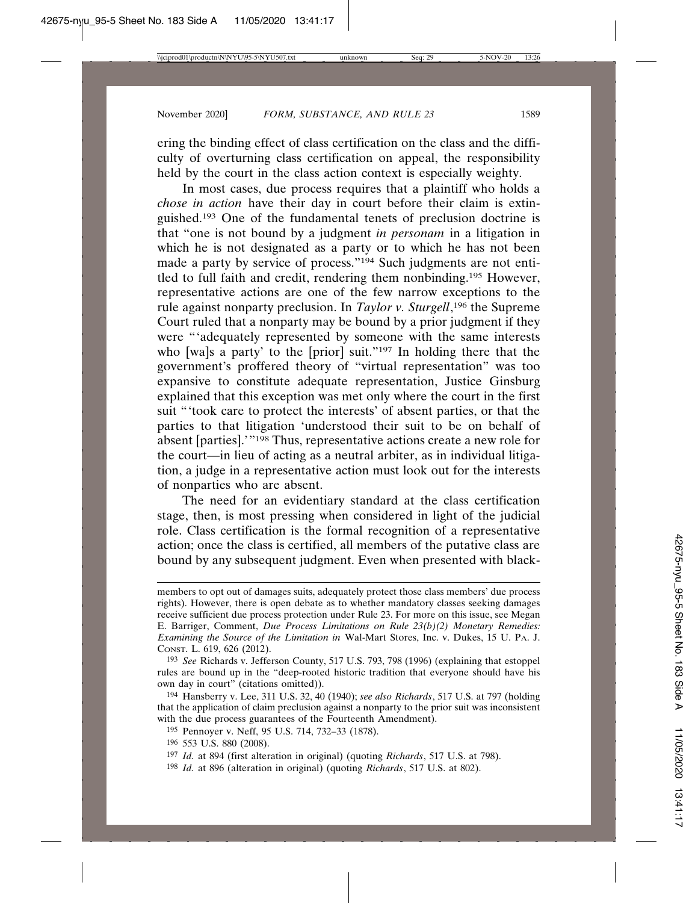ering the binding effect of class certification on the class and the difficulty of overturning class certification on appeal, the responsibility held by the court in the class action context is especially weighty.

In most cases, due process requires that a plaintiff who holds a *chose in action* have their day in court before their claim is extinguished.193 One of the fundamental tenets of preclusion doctrine is that "one is not bound by a judgment *in personam* in a litigation in which he is not designated as a party or to which he has not been made a party by service of process."<sup>194</sup> Such judgments are not entitled to full faith and credit, rendering them nonbinding.195 However, representative actions are one of the few narrow exceptions to the rule against nonparty preclusion. In *Taylor v. Sturgell*, 196 the Supreme Court ruled that a nonparty may be bound by a prior judgment if they were "'adequately represented by someone with the same interests who [wa]s a party' to the [prior] suit."<sup>197</sup> In holding there that the government's proffered theory of "virtual representation" was too expansive to constitute adequate representation, Justice Ginsburg explained that this exception was met only where the court in the first suit "'took care to protect the interests' of absent parties, or that the parties to that litigation 'understood their suit to be on behalf of absent [parties].'"198 Thus, representative actions create a new role for the court—in lieu of acting as a neutral arbiter, as in individual litigation, a judge in a representative action must look out for the interests of nonparties who are absent.

The need for an evidentiary standard at the class certification stage, then, is most pressing when considered in light of the judicial role. Class certification is the formal recognition of a representative action; once the class is certified, all members of the putative class are bound by any subsequent judgment. Even when presented with black-

members to opt out of damages suits, adequately protect those class members' due process rights). However, there is open debate as to whether mandatory classes seeking damages receive sufficient due process protection under Rule 23. For more on this issue, see Megan E. Barriger, Comment, *Due Process Limitations on Rule 23(b)(2) Monetary Remedies: Examining the Source of the Limitation in* Wal-Mart Stores, Inc. v. Dukes, 15 U. PA. J. CONST. L. 619, 626 (2012).

<sup>193</sup> *See* Richards v. Jefferson County, 517 U.S. 793, 798 (1996) (explaining that estoppel rules are bound up in the "deep-rooted historic tradition that everyone should have his own day in court" (citations omitted)).

<sup>194</sup> Hansberry v. Lee, 311 U.S. 32, 40 (1940); *see also Richards*, 517 U.S. at 797 (holding that the application of claim preclusion against a nonparty to the prior suit was inconsistent with the due process guarantees of the Fourteenth Amendment).

<sup>195</sup> Pennoyer v. Neff, 95 U.S. 714, 732–33 (1878).

<sup>196</sup> 553 U.S. 880 (2008).

<sup>197</sup> *Id.* at 894 (first alteration in original) (quoting *Richards*, 517 U.S. at 798).

<sup>198</sup> *Id.* at 896 (alteration in original) (quoting *Richards*, 517 U.S. at 802).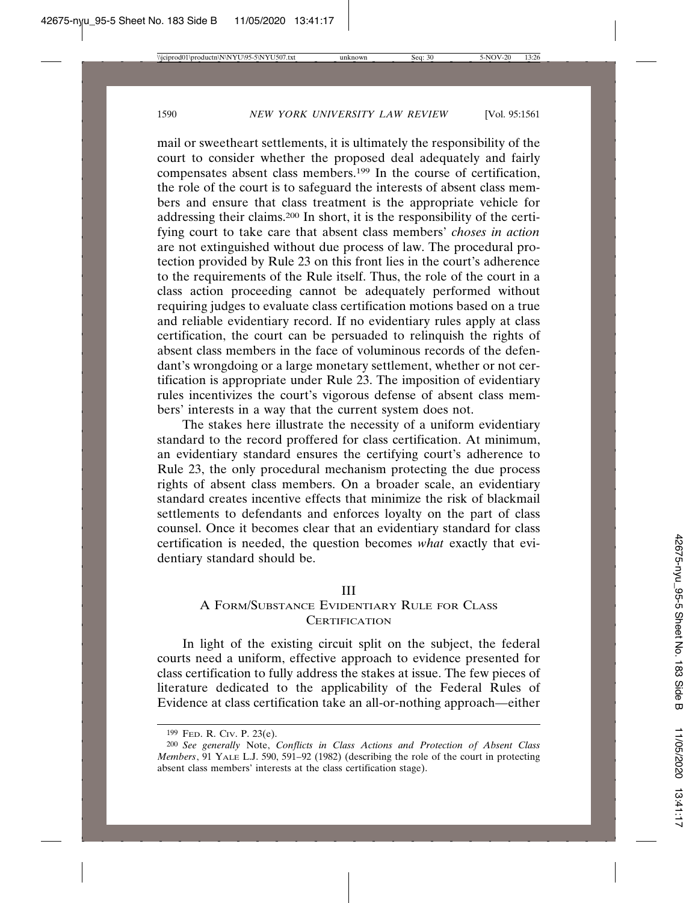mail or sweetheart settlements, it is ultimately the responsibility of the court to consider whether the proposed deal adequately and fairly compensates absent class members.199 In the course of certification, the role of the court is to safeguard the interests of absent class members and ensure that class treatment is the appropriate vehicle for addressing their claims.200 In short, it is the responsibility of the certifying court to take care that absent class members' *choses in action* are not extinguished without due process of law. The procedural protection provided by Rule 23 on this front lies in the court's adherence to the requirements of the Rule itself. Thus, the role of the court in a class action proceeding cannot be adequately performed without requiring judges to evaluate class certification motions based on a true and reliable evidentiary record. If no evidentiary rules apply at class certification, the court can be persuaded to relinquish the rights of absent class members in the face of voluminous records of the defendant's wrongdoing or a large monetary settlement, whether or not certification is appropriate under Rule 23. The imposition of evidentiary rules incentivizes the court's vigorous defense of absent class members' interests in a way that the current system does not.

The stakes here illustrate the necessity of a uniform evidentiary standard to the record proffered for class certification. At minimum, an evidentiary standard ensures the certifying court's adherence to Rule 23, the only procedural mechanism protecting the due process rights of absent class members. On a broader scale, an evidentiary standard creates incentive effects that minimize the risk of blackmail settlements to defendants and enforces loyalty on the part of class counsel. Once it becomes clear that an evidentiary standard for class certification is needed, the question becomes *what* exactly that evidentiary standard should be.

## III

# A FORM/SUBSTANCE EVIDENTIARY RULE FOR CLASS **CERTIFICATION**

In light of the existing circuit split on the subject, the federal courts need a uniform, effective approach to evidence presented for class certification to fully address the stakes at issue. The few pieces of literature dedicated to the applicability of the Federal Rules of Evidence at class certification take an all-or-nothing approach—either

<sup>199</sup> FED. R. CIV. P. 23(e).

<sup>200</sup> *See generally* Note, *Conflicts in Class Actions and Protection of Absent Class Members*, 91 YALE L.J. 590, 591–92 (1982) (describing the role of the court in protecting absent class members' interests at the class certification stage).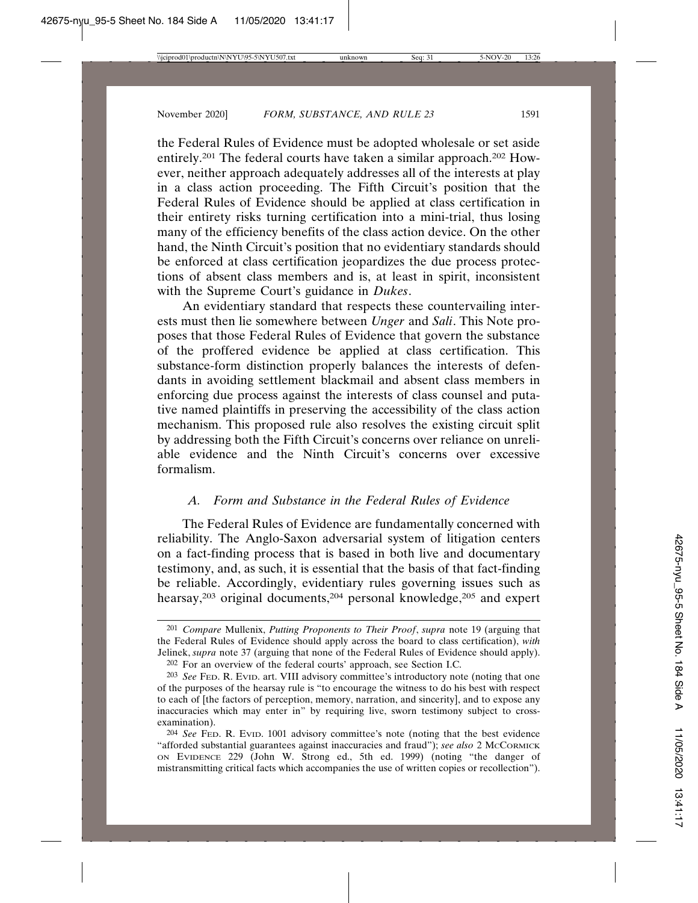the Federal Rules of Evidence must be adopted wholesale or set aside entirely.201 The federal courts have taken a similar approach.202 However, neither approach adequately addresses all of the interests at play in a class action proceeding. The Fifth Circuit's position that the Federal Rules of Evidence should be applied at class certification in their entirety risks turning certification into a mini-trial, thus losing many of the efficiency benefits of the class action device. On the other hand, the Ninth Circuit's position that no evidentiary standards should be enforced at class certification jeopardizes the due process protections of absent class members and is, at least in spirit, inconsistent with the Supreme Court's guidance in *Dukes*.

An evidentiary standard that respects these countervailing interests must then lie somewhere between *Unger* and *Sali*. This Note proposes that those Federal Rules of Evidence that govern the substance of the proffered evidence be applied at class certification. This substance-form distinction properly balances the interests of defendants in avoiding settlement blackmail and absent class members in enforcing due process against the interests of class counsel and putative named plaintiffs in preserving the accessibility of the class action mechanism. This proposed rule also resolves the existing circuit split by addressing both the Fifth Circuit's concerns over reliance on unreliable evidence and the Ninth Circuit's concerns over excessive formalism.

# *A. Form and Substance in the Federal Rules of Evidence*

The Federal Rules of Evidence are fundamentally concerned with reliability. The Anglo-Saxon adversarial system of litigation centers on a fact-finding process that is based in both live and documentary testimony, and, as such, it is essential that the basis of that fact-finding be reliable. Accordingly, evidentiary rules governing issues such as hearsay,<sup>203</sup> original documents,<sup>204</sup> personal knowledge,<sup>205</sup> and expert

<sup>201</sup> *Compare* Mullenix, *Putting Proponents to Their Proof*, *supra* note 19 (arguing that the Federal Rules of Evidence should apply across the board to class certification), *with* Jelinek, *supra* note 37 (arguing that none of the Federal Rules of Evidence should apply). 202 For an overview of the federal courts' approach, see Section I.C.

<sup>203</sup> *See* FED. R. EVID. art. VIII advisory committee's introductory note (noting that one of the purposes of the hearsay rule is "to encourage the witness to do his best with respect to each of [the factors of perception, memory, narration, and sincerity], and to expose any inaccuracies which may enter in" by requiring live, sworn testimony subject to crossexamination).

<sup>204</sup> *See* FED. R. EVID. 1001 advisory committee's note (noting that the best evidence "afforded substantial guarantees against inaccuracies and fraud"); see also 2 McCORMICK ON EVIDENCE 229 (John W. Strong ed., 5th ed. 1999) (noting "the danger of mistransmitting critical facts which accompanies the use of written copies or recollection").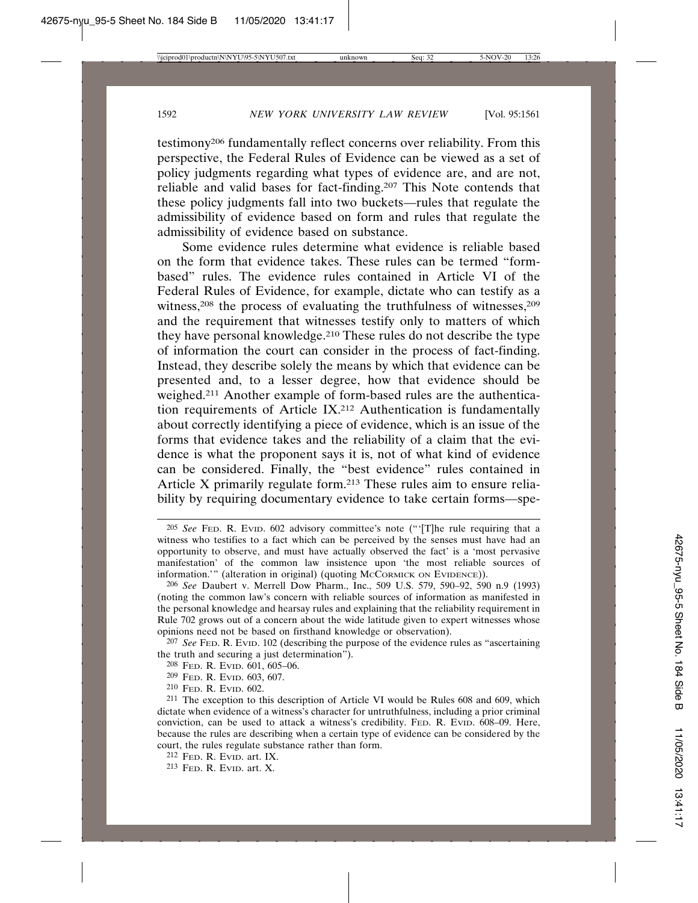testimony206 fundamentally reflect concerns over reliability. From this perspective, the Federal Rules of Evidence can be viewed as a set of policy judgments regarding what types of evidence are, and are not, reliable and valid bases for fact-finding.207 This Note contends that these policy judgments fall into two buckets—rules that regulate the admissibility of evidence based on form and rules that regulate the admissibility of evidence based on substance.

Some evidence rules determine what evidence is reliable based on the form that evidence takes. These rules can be termed "formbased" rules. The evidence rules contained in Article VI of the Federal Rules of Evidence, for example, dictate who can testify as a witness,<sup>208</sup> the process of evaluating the truthfulness of witnesses,<sup>209</sup> and the requirement that witnesses testify only to matters of which they have personal knowledge.210 These rules do not describe the type of information the court can consider in the process of fact-finding. Instead, they describe solely the means by which that evidence can be presented and, to a lesser degree, how that evidence should be weighed.211 Another example of form-based rules are the authentication requirements of Article IX.212 Authentication is fundamentally about correctly identifying a piece of evidence, which is an issue of the forms that evidence takes and the reliability of a claim that the evidence is what the proponent says it is, not of what kind of evidence can be considered. Finally, the "best evidence" rules contained in Article X primarily regulate form.213 These rules aim to ensure reliability by requiring documentary evidence to take certain forms—spe-

- 208 FED. R. EVID. 601, 605–06.
- 209 FED. R. EVID. 603, 607.

- 212 FED. R. EVID. art. IX.
- 213 FED. R. EVID. art. X.

<sup>205</sup> *See* FED. R. EVID. 602 advisory committee's note ("'[T]he rule requiring that a witness who testifies to a fact which can be perceived by the senses must have had an opportunity to observe, and must have actually observed the fact' is a 'most pervasive manifestation' of the common law insistence upon 'the most reliable sources of information.'" (alteration in original) (quoting McCORMICK ON EVIDENCE)).

<sup>206</sup> *See* Daubert v. Merrell Dow Pharm., Inc., 509 U.S. 579, 590–92, 590 n.9 (1993) (noting the common law's concern with reliable sources of information as manifested in the personal knowledge and hearsay rules and explaining that the reliability requirement in Rule 702 grows out of a concern about the wide latitude given to expert witnesses whose opinions need not be based on firsthand knowledge or observation).

<sup>207</sup> *See* FED. R. EVID. 102 (describing the purpose of the evidence rules as "ascertaining the truth and securing a just determination").

<sup>210</sup> FED. R. EVID. 602.

<sup>211</sup> The exception to this description of Article VI would be Rules 608 and 609, which dictate when evidence of a witness's character for untruthfulness, including a prior criminal conviction, can be used to attack a witness's credibility. FED. R. EVID. 608–09. Here, because the rules are describing when a certain type of evidence can be considered by the court, the rules regulate substance rather than form.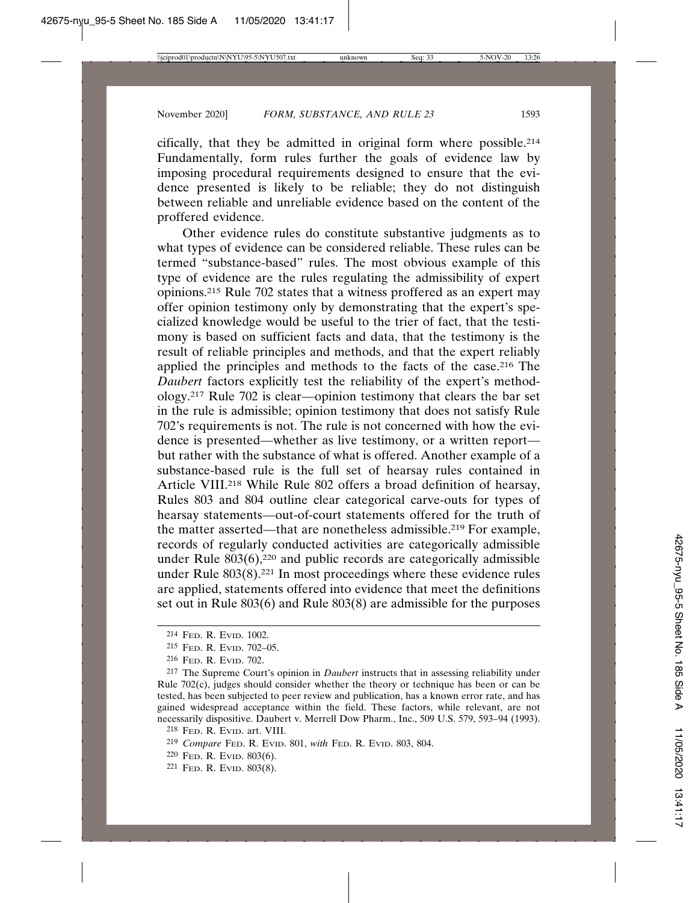cifically, that they be admitted in original form where possible.214 Fundamentally, form rules further the goals of evidence law by imposing procedural requirements designed to ensure that the evidence presented is likely to be reliable; they do not distinguish between reliable and unreliable evidence based on the content of the proffered evidence.

Other evidence rules do constitute substantive judgments as to what types of evidence can be considered reliable. These rules can be termed "substance-based" rules. The most obvious example of this type of evidence are the rules regulating the admissibility of expert opinions.215 Rule 702 states that a witness proffered as an expert may offer opinion testimony only by demonstrating that the expert's specialized knowledge would be useful to the trier of fact, that the testimony is based on sufficient facts and data, that the testimony is the result of reliable principles and methods, and that the expert reliably applied the principles and methods to the facts of the case.216 The *Daubert* factors explicitly test the reliability of the expert's methodology.217 Rule 702 is clear—opinion testimony that clears the bar set in the rule is admissible; opinion testimony that does not satisfy Rule 702's requirements is not. The rule is not concerned with how the evidence is presented—whether as live testimony, or a written report but rather with the substance of what is offered. Another example of a substance-based rule is the full set of hearsay rules contained in Article VIII.218 While Rule 802 offers a broad definition of hearsay, Rules 803 and 804 outline clear categorical carve-outs for types of hearsay statements—out-of-court statements offered for the truth of the matter asserted—that are nonetheless admissible.219 For example, records of regularly conducted activities are categorically admissible under Rule  $803(6)$ ,<sup>220</sup> and public records are categorically admissible under Rule  $803(8)$ .<sup>221</sup> In most proceedings where these evidence rules are applied, statements offered into evidence that meet the definitions set out in Rule 803(6) and Rule 803(8) are admissible for the purposes

<sup>214</sup> FED. R. EVID. 1002.

<sup>215</sup> FED. R. EVID. 702–05.

<sup>216</sup> FED. R. EVID. 702.

<sup>217</sup> The Supreme Court's opinion in *Daubert* instructs that in assessing reliability under Rule 702(c), judges should consider whether the theory or technique has been or can be tested, has been subjected to peer review and publication, has a known error rate, and has gained widespread acceptance within the field. These factors, while relevant, are not necessarily dispositive. Daubert v. Merrell Dow Pharm., Inc., 509 U.S. 579, 593–94 (1993).

<sup>218</sup> FED. R. EVID. art. VIII.

<sup>219</sup> *Compare* FED. R. EVID. 801, *with* FED. R. EVID. 803, 804.

<sup>220</sup> FED. R. EVID. 803(6).

<sup>221</sup> FED. R. EVID. 803(8).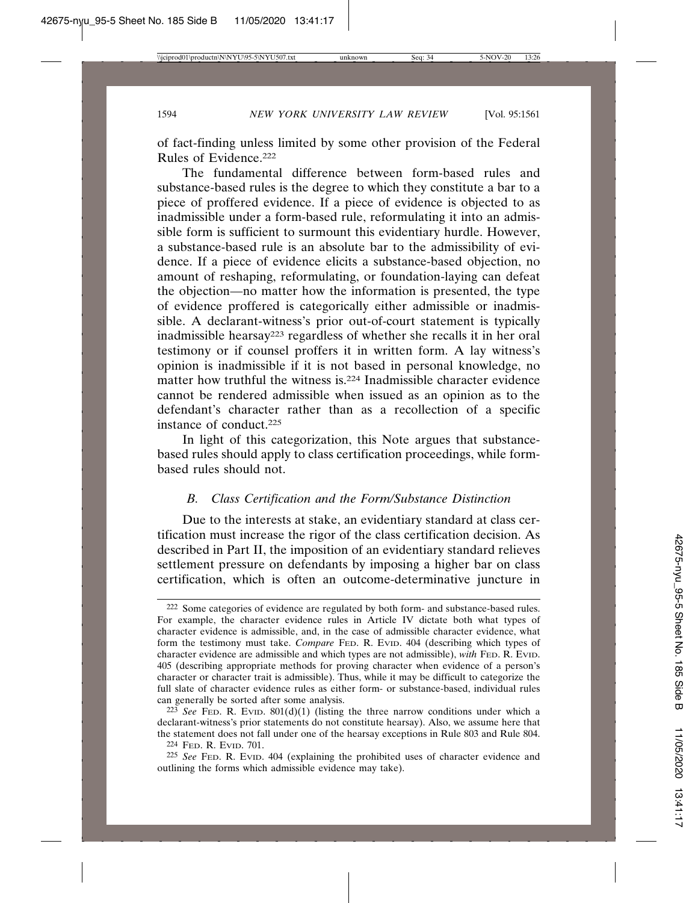of fact-finding unless limited by some other provision of the Federal Rules of Evidence.222

The fundamental difference between form-based rules and substance-based rules is the degree to which they constitute a bar to a piece of proffered evidence. If a piece of evidence is objected to as inadmissible under a form-based rule, reformulating it into an admissible form is sufficient to surmount this evidentiary hurdle. However, a substance-based rule is an absolute bar to the admissibility of evidence. If a piece of evidence elicits a substance-based objection, no amount of reshaping, reformulating, or foundation-laying can defeat the objection—no matter how the information is presented, the type of evidence proffered is categorically either admissible or inadmissible. A declarant-witness's prior out-of-court statement is typically inadmissible hearsay223 regardless of whether she recalls it in her oral testimony or if counsel proffers it in written form. A lay witness's opinion is inadmissible if it is not based in personal knowledge, no matter how truthful the witness is.224 Inadmissible character evidence cannot be rendered admissible when issued as an opinion as to the defendant's character rather than as a recollection of a specific instance of conduct.225

In light of this categorization, this Note argues that substancebased rules should apply to class certification proceedings, while formbased rules should not.

## *B. Class Certification and the Form/Substance Distinction*

Due to the interests at stake, an evidentiary standard at class certification must increase the rigor of the class certification decision. As described in Part II, the imposition of an evidentiary standard relieves settlement pressure on defendants by imposing a higher bar on class certification, which is often an outcome-determinative juncture in

<sup>222</sup> Some categories of evidence are regulated by both form- and substance-based rules. For example, the character evidence rules in Article IV dictate both what types of character evidence is admissible, and, in the case of admissible character evidence, what form the testimony must take. *Compare* FED. R. EVID. 404 (describing which types of character evidence are admissible and which types are not admissible), *with* FED. R. EVID. 405 (describing appropriate methods for proving character when evidence of a person's character or character trait is admissible). Thus, while it may be difficult to categorize the full slate of character evidence rules as either form- or substance-based, individual rules can generally be sorted after some analysis.

 $223$  *See* FED. R. EVID.  $801(d)(1)$  (listing the three narrow conditions under which a declarant-witness's prior statements do not constitute hearsay). Also, we assume here that the statement does not fall under one of the hearsay exceptions in Rule 803 and Rule 804. 224 FED. R. EVID. 701.

<sup>225</sup> *See* FED. R. EVID. 404 (explaining the prohibited uses of character evidence and outlining the forms which admissible evidence may take).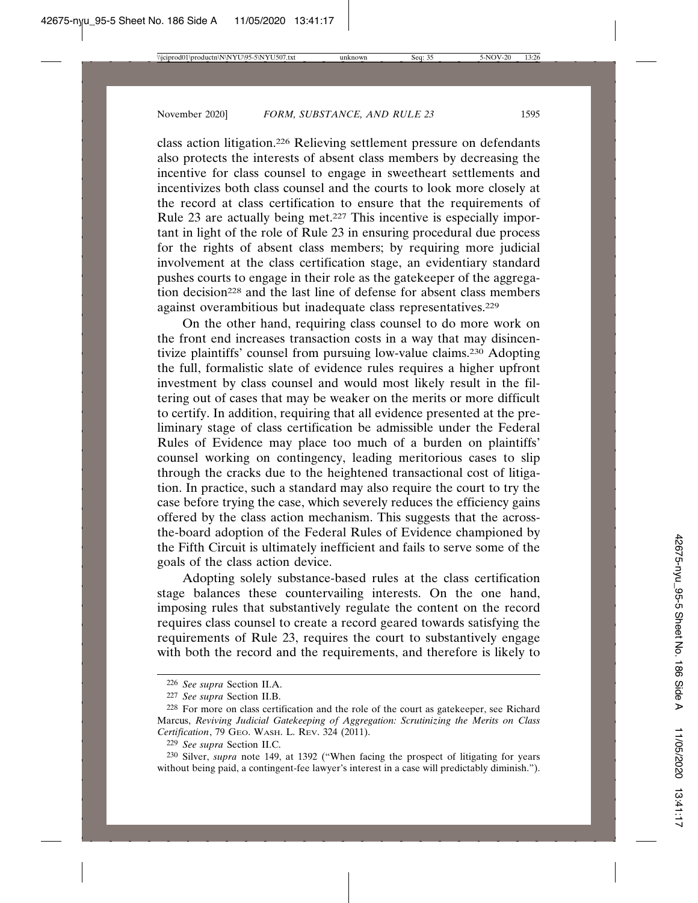class action litigation.226 Relieving settlement pressure on defendants also protects the interests of absent class members by decreasing the incentive for class counsel to engage in sweetheart settlements and incentivizes both class counsel and the courts to look more closely at the record at class certification to ensure that the requirements of Rule 23 are actually being met.<sup>227</sup> This incentive is especially important in light of the role of Rule 23 in ensuring procedural due process for the rights of absent class members; by requiring more judicial involvement at the class certification stage, an evidentiary standard pushes courts to engage in their role as the gatekeeper of the aggregation decision<sup>228</sup> and the last line of defense for absent class members against overambitious but inadequate class representatives.<sup>229</sup>

On the other hand, requiring class counsel to do more work on the front end increases transaction costs in a way that may disincentivize plaintiffs' counsel from pursuing low-value claims.230 Adopting the full, formalistic slate of evidence rules requires a higher upfront investment by class counsel and would most likely result in the filtering out of cases that may be weaker on the merits or more difficult to certify. In addition, requiring that all evidence presented at the preliminary stage of class certification be admissible under the Federal Rules of Evidence may place too much of a burden on plaintiffs' counsel working on contingency, leading meritorious cases to slip through the cracks due to the heightened transactional cost of litigation. In practice, such a standard may also require the court to try the case before trying the case, which severely reduces the efficiency gains offered by the class action mechanism. This suggests that the acrossthe-board adoption of the Federal Rules of Evidence championed by the Fifth Circuit is ultimately inefficient and fails to serve some of the goals of the class action device.

Adopting solely substance-based rules at the class certification stage balances these countervailing interests. On the one hand, imposing rules that substantively regulate the content on the record requires class counsel to create a record geared towards satisfying the requirements of Rule 23, requires the court to substantively engage with both the record and the requirements, and therefore is likely to

<sup>226</sup> *See supra* Section II.A.

<sup>227</sup> *See supra* Section II.B.

<sup>228</sup> For more on class certification and the role of the court as gatekeeper, see Richard Marcus, *Reviving Judicial Gatekeeping of Aggregation: Scrutinizing the Merits on Class Certification*, 79 GEO. WASH. L. REV. 324 (2011).

<sup>229</sup> *See supra* Section II.C.

<sup>230</sup> Silver, *supra* note 149, at 1392 ("When facing the prospect of litigating for years without being paid, a contingent-fee lawyer's interest in a case will predictably diminish.").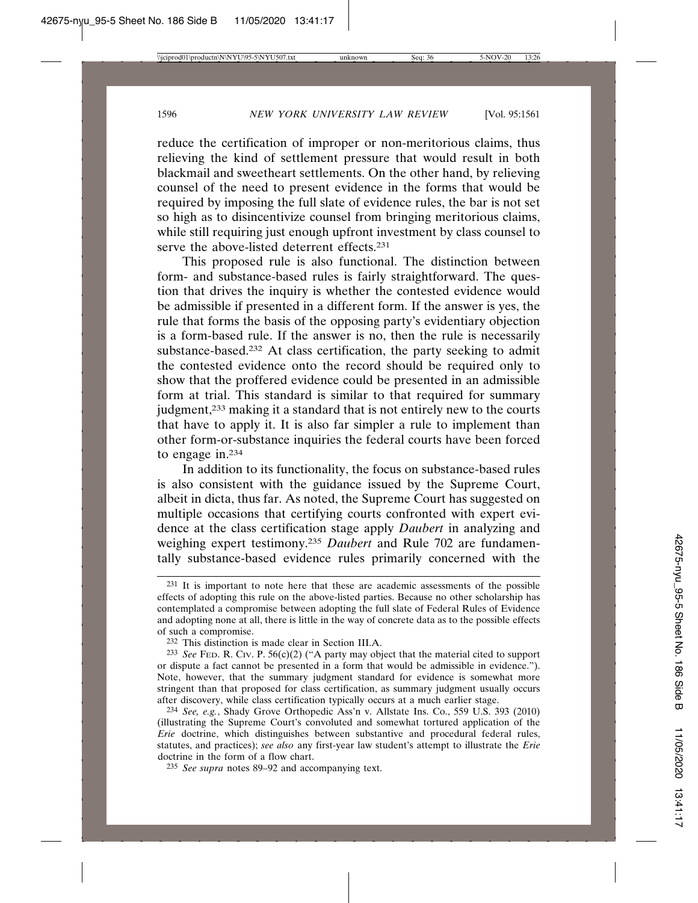reduce the certification of improper or non-meritorious claims, thus relieving the kind of settlement pressure that would result in both blackmail and sweetheart settlements. On the other hand, by relieving counsel of the need to present evidence in the forms that would be required by imposing the full slate of evidence rules, the bar is not set so high as to disincentivize counsel from bringing meritorious claims, while still requiring just enough upfront investment by class counsel to serve the above-listed deterrent effects.231

This proposed rule is also functional. The distinction between form- and substance-based rules is fairly straightforward. The question that drives the inquiry is whether the contested evidence would be admissible if presented in a different form. If the answer is yes, the rule that forms the basis of the opposing party's evidentiary objection is a form-based rule. If the answer is no, then the rule is necessarily substance-based.232 At class certification, the party seeking to admit the contested evidence onto the record should be required only to show that the proffered evidence could be presented in an admissible form at trial. This standard is similar to that required for summary judgment,233 making it a standard that is not entirely new to the courts that have to apply it. It is also far simpler a rule to implement than other form-or-substance inquiries the federal courts have been forced to engage in.234

In addition to its functionality, the focus on substance-based rules is also consistent with the guidance issued by the Supreme Court, albeit in dicta, thus far. As noted, the Supreme Court has suggested on multiple occasions that certifying courts confronted with expert evidence at the class certification stage apply *Daubert* in analyzing and weighing expert testimony.235 *Daubert* and Rule 702 are fundamentally substance-based evidence rules primarily concerned with the

235 *See supra* notes 89–92 and accompanying text.

<sup>231</sup> It is important to note here that these are academic assessments of the possible effects of adopting this rule on the above-listed parties. Because no other scholarship has contemplated a compromise between adopting the full slate of Federal Rules of Evidence and adopting none at all, there is little in the way of concrete data as to the possible effects of such a compromise.

<sup>232</sup> This distinction is made clear in Section III.A.

<sup>&</sup>lt;sup>233</sup> *See* FED. R. CIv. P.  $56(c)(2)$  ("A party may object that the material cited to support or dispute a fact cannot be presented in a form that would be admissible in evidence."). Note, however, that the summary judgment standard for evidence is somewhat more stringent than that proposed for class certification, as summary judgment usually occurs after discovery, while class certification typically occurs at a much earlier stage.

<sup>234</sup> *See, e.g.*, Shady Grove Orthopedic Ass'n v. Allstate Ins. Co., 559 U.S. 393 (2010) (illustrating the Supreme Court's convoluted and somewhat tortured application of the *Erie* doctrine, which distinguishes between substantive and procedural federal rules, statutes, and practices); *see also* any first-year law student's attempt to illustrate the *Erie* doctrine in the form of a flow chart.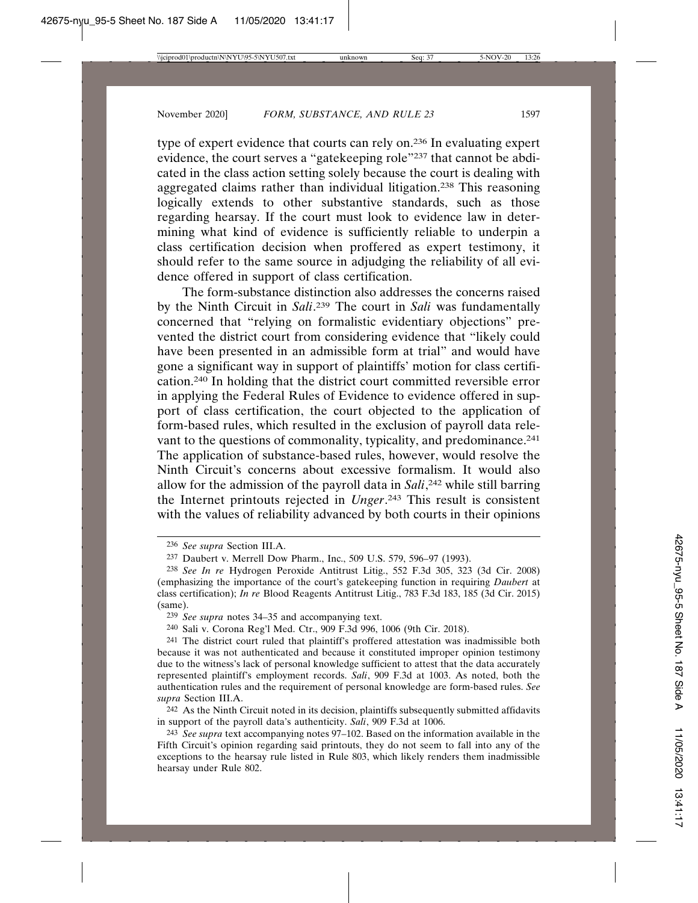type of expert evidence that courts can rely on.236 In evaluating expert evidence, the court serves a "gatekeeping role"237 that cannot be abdicated in the class action setting solely because the court is dealing with aggregated claims rather than individual litigation.238 This reasoning logically extends to other substantive standards, such as those regarding hearsay. If the court must look to evidence law in determining what kind of evidence is sufficiently reliable to underpin a class certification decision when proffered as expert testimony, it should refer to the same source in adjudging the reliability of all evidence offered in support of class certification.

The form-substance distinction also addresses the concerns raised by the Ninth Circuit in *Sali*. <sup>239</sup> The court in *Sali* was fundamentally concerned that "relying on formalistic evidentiary objections" prevented the district court from considering evidence that "likely could have been presented in an admissible form at trial" and would have gone a significant way in support of plaintiffs' motion for class certification.240 In holding that the district court committed reversible error in applying the Federal Rules of Evidence to evidence offered in support of class certification, the court objected to the application of form-based rules, which resulted in the exclusion of payroll data relevant to the questions of commonality, typicality, and predominance.<sup>241</sup> The application of substance-based rules, however, would resolve the Ninth Circuit's concerns about excessive formalism. It would also allow for the admission of the payroll data in *Sali*, 242 while still barring the Internet printouts rejected in *Unger*. 243 This result is consistent with the values of reliability advanced by both courts in their opinions

 $242$  As the Ninth Circuit noted in its decision, plaintiffs subsequently submitted affidavits in support of the payroll data's authenticity. *Sali*, 909 F.3d at 1006.

<sup>236</sup> *See supra* Section III.A.

<sup>237</sup> Daubert v. Merrell Dow Pharm., Inc., 509 U.S. 579, 596–97 (1993).

<sup>238</sup> *See In re* Hydrogen Peroxide Antitrust Litig., 552 F.3d 305, 323 (3d Cir. 2008) (emphasizing the importance of the court's gatekeeping function in requiring *Daubert* at class certification); *In re* Blood Reagents Antitrust Litig., 783 F.3d 183, 185 (3d Cir. 2015) (same).

<sup>239</sup> *See supra* notes 34–35 and accompanying text.

<sup>240</sup> Sali v. Corona Reg'l Med. Ctr., 909 F.3d 996, 1006 (9th Cir. 2018).

<sup>241</sup> The district court ruled that plaintiff's proffered attestation was inadmissible both because it was not authenticated and because it constituted improper opinion testimony due to the witness's lack of personal knowledge sufficient to attest that the data accurately represented plaintiff's employment records. *Sali*, 909 F.3d at 1003. As noted, both the authentication rules and the requirement of personal knowledge are form-based rules. *See supra* Section III.A.

<sup>243</sup> *See supra* text accompanying notes 97–102. Based on the information available in the Fifth Circuit's opinion regarding said printouts, they do not seem to fall into any of the exceptions to the hearsay rule listed in Rule 803, which likely renders them inadmissible hearsay under Rule 802.